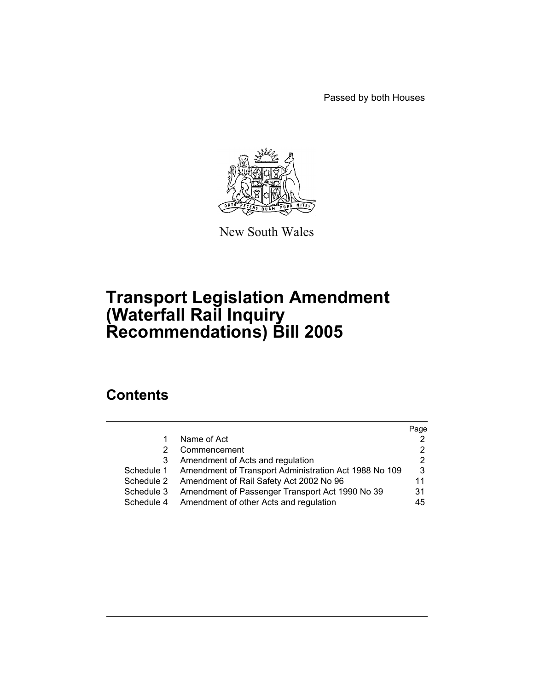Passed by both Houses



New South Wales

# **Transport Legislation Amendment (Waterfall Rail Inquiry Recommendations) Bill 2005**

# **Contents**

|            |                                                       | Page |
|------------|-------------------------------------------------------|------|
|            | Name of Act                                           |      |
| 2          | Commencement                                          | 2    |
| 3          | Amendment of Acts and regulation                      | 2    |
| Schedule 1 | Amendment of Transport Administration Act 1988 No 109 | 3    |
| Schedule 2 | Amendment of Rail Safety Act 2002 No 96               | 11   |
| Schedule 3 | Amendment of Passenger Transport Act 1990 No 39       | 31   |
| Schedule 4 | Amendment of other Acts and regulation                | 45   |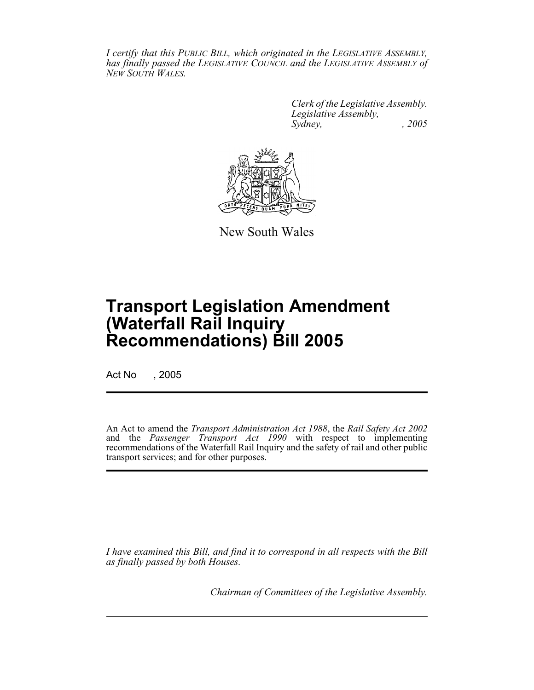*I certify that this PUBLIC BILL, which originated in the LEGISLATIVE ASSEMBLY, has finally passed the LEGISLATIVE COUNCIL and the LEGISLATIVE ASSEMBLY of NEW SOUTH WALES.*

> *Clerk of the Legislative Assembly. Legislative Assembly, Sydney, , 2005*



New South Wales

# **Transport Legislation Amendment (Waterfall Rail Inquiry Recommendations) Bill 2005**

Act No , 2005

An Act to amend the *Transport Administration Act 1988*, the *Rail Safety Act 2002* and the *Passenger Transport Act 1990* with respect to implementing recommendations of the Waterfall Rail Inquiry and the safety of rail and other public transport services; and for other purposes.

*I have examined this Bill, and find it to correspond in all respects with the Bill as finally passed by both Houses.*

*Chairman of Committees of the Legislative Assembly.*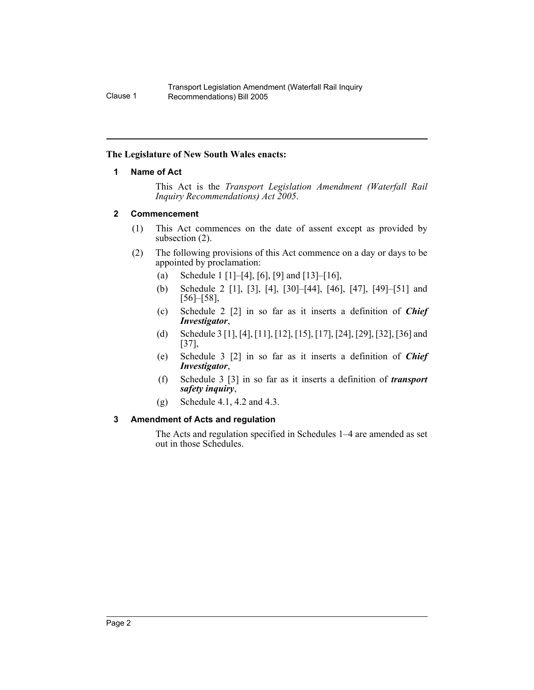#### **The Legislature of New South Wales enacts:**

#### **1 Name of Act**

This Act is the *Transport Legislation Amendment (Waterfall Rail Inquiry Recommendations) Act 2005*.

#### **2 Commencement**

- (1) This Act commences on the date of assent except as provided by subsection (2).
- (2) The following provisions of this Act commence on a day or days to be appointed by proclamation:
	- (a) Schedule 1 [1]–[4], [6], [9] and [13]–[16],
	- (b) Schedule 2 [1], [3], [4], [30]–[44], [46], [47], [49]–[51] and [56]–[58],
	- (c) Schedule 2 [2] in so far as it inserts a definition of *Chief Investigator*,
	- (d) Schedule 3 [1], [4], [11], [12], [15], [17], [24], [29], [32], [36] and [37],
	- (e) Schedule 3 [2] in so far as it inserts a definition of *Chief Investigator*,
	- (f) Schedule 3 [3] in so far as it inserts a definition of *transport safety inquiry*,
	- (g) Schedule 4.1, 4.2 and 4.3.

## **3 Amendment of Acts and regulation**

The Acts and regulation specified in Schedules 1–4 are amended as set out in those Schedules.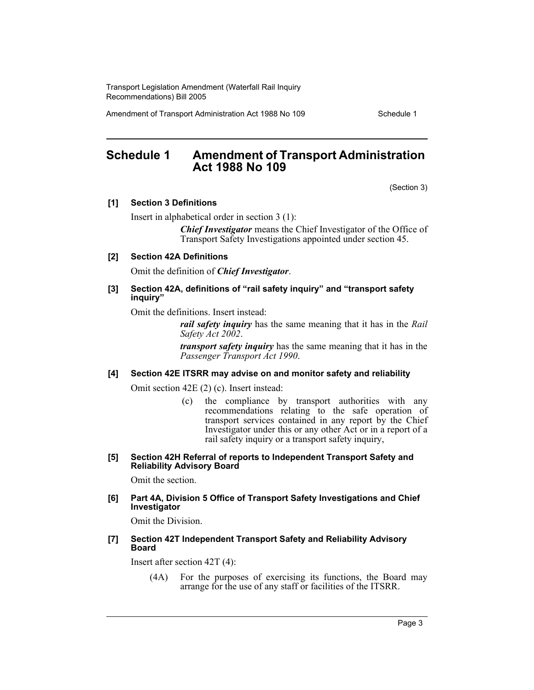Amendment of Transport Administration Act 1988 No 109 Schedule 1

# **Schedule 1 Amendment of Transport Administration Act 1988 No 109**

(Section 3)

#### **[1] Section 3 Definitions**

Insert in alphabetical order in section 3 (1):

*Chief Investigator* means the Chief Investigator of the Office of Transport Safety Investigations appointed under section 45.

#### **[2] Section 42A Definitions**

Omit the definition of *Chief Investigator*.

#### **[3] Section 42A, definitions of "rail safety inquiry" and "transport safety inquiry"**

Omit the definitions. Insert instead:

*rail safety inquiry* has the same meaning that it has in the *Rail Safety Act 2002*.

*transport safety inquiry* has the same meaning that it has in the *Passenger Transport Act 1990*.

## **[4] Section 42E ITSRR may advise on and monitor safety and reliability**

Omit section 42E (2) (c). Insert instead:

(c) the compliance by transport authorities with any recommendations relating to the safe operation of transport services contained in any report by the Chief Investigator under this or any other Act or in a report of a rail safety inquiry or a transport safety inquiry,

#### **[5] Section 42H Referral of reports to Independent Transport Safety and Reliability Advisory Board**

Omit the section.

#### **[6] Part 4A, Division 5 Office of Transport Safety Investigations and Chief Investigator**

Omit the Division.

#### **[7] Section 42T Independent Transport Safety and Reliability Advisory Board**

Insert after section 42T (4):

(4A) For the purposes of exercising its functions, the Board may arrange for the use of any staff or facilities of the ITSRR.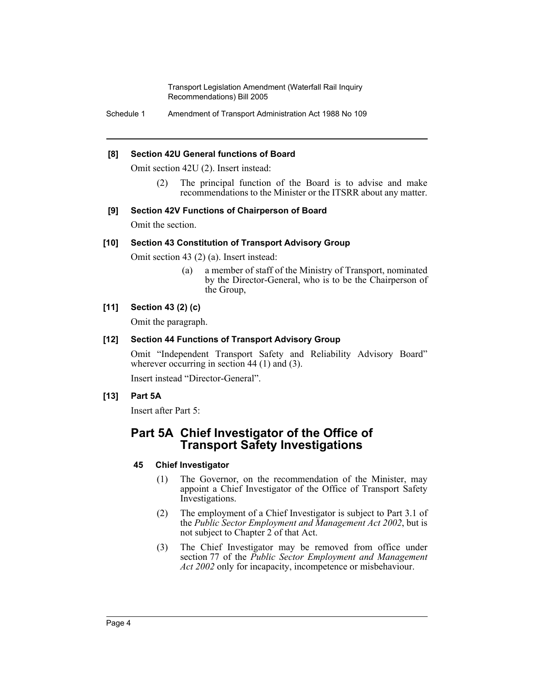Schedule 1 Amendment of Transport Administration Act 1988 No 109

#### **[8] Section 42U General functions of Board**

Omit section 42U (2). Insert instead:

(2) The principal function of the Board is to advise and make recommendations to the Minister or the ITSRR about any matter.

#### **[9] Section 42V Functions of Chairperson of Board**

Omit the section.

#### **[10] Section 43 Constitution of Transport Advisory Group**

Omit section 43 (2) (a). Insert instead:

(a) a member of staff of the Ministry of Transport, nominated by the Director-General, who is to be the Chairperson of the Group,

#### **[11] Section 43 (2) (c)**

Omit the paragraph.

#### **[12] Section 44 Functions of Transport Advisory Group**

Omit "Independent Transport Safety and Reliability Advisory Board" wherever occurring in section 44 (1) and (3).

Insert instead "Director-General".

## **[13] Part 5A**

Insert after Part 5:

# **Part 5A Chief Investigator of the Office of Transport Safety Investigations**

## **45 Chief Investigator**

- (1) The Governor, on the recommendation of the Minister, may appoint a Chief Investigator of the Office of Transport Safety Investigations.
- (2) The employment of a Chief Investigator is subject to Part 3.1 of the *Public Sector Employment and Management Act 2002*, but is not subject to Chapter 2 of that Act.
- (3) The Chief Investigator may be removed from office under section 77 of the *Public Sector Employment and Management Act 2002* only for incapacity, incompetence or misbehaviour.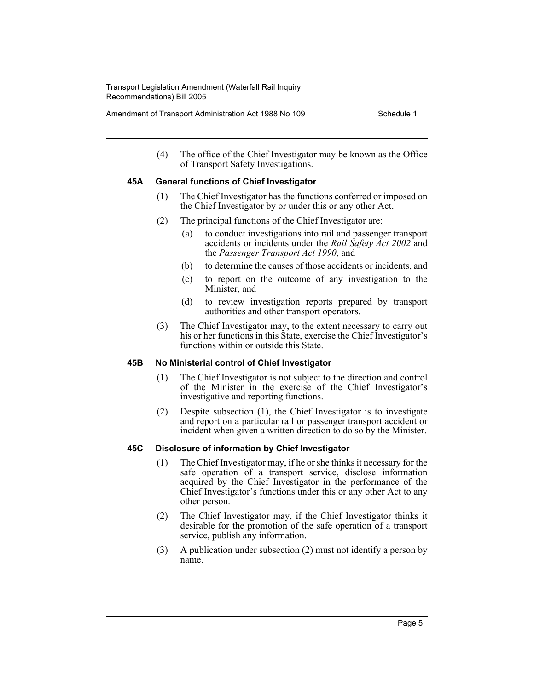Amendment of Transport Administration Act 1988 No 109 Schedule 1

(4) The office of the Chief Investigator may be known as the Office of Transport Safety Investigations.

## **45A General functions of Chief Investigator**

- (1) The Chief Investigator has the functions conferred or imposed on the Chief Investigator by or under this or any other Act.
- (2) The principal functions of the Chief Investigator are:
	- (a) to conduct investigations into rail and passenger transport accidents or incidents under the *Rail Safety Act 2002* and the *Passenger Transport Act 1990*, and
	- (b) to determine the causes of those accidents or incidents, and
	- (c) to report on the outcome of any investigation to the Minister, and
	- (d) to review investigation reports prepared by transport authorities and other transport operators.
- (3) The Chief Investigator may, to the extent necessary to carry out his or her functions in this State, exercise the Chief Investigator's functions within or outside this State.

## **45B No Ministerial control of Chief Investigator**

- (1) The Chief Investigator is not subject to the direction and control of the Minister in the exercise of the Chief Investigator's investigative and reporting functions.
- (2) Despite subsection (1), the Chief Investigator is to investigate and report on a particular rail or passenger transport accident or incident when given a written direction to do so by the Minister.

## **45C Disclosure of information by Chief Investigator**

- (1) The Chief Investigator may, if he or she thinks it necessary for the safe operation of a transport service, disclose information acquired by the Chief Investigator in the performance of the Chief Investigator's functions under this or any other Act to any other person.
- (2) The Chief Investigator may, if the Chief Investigator thinks it desirable for the promotion of the safe operation of a transport service, publish any information.
- (3) A publication under subsection (2) must not identify a person by name.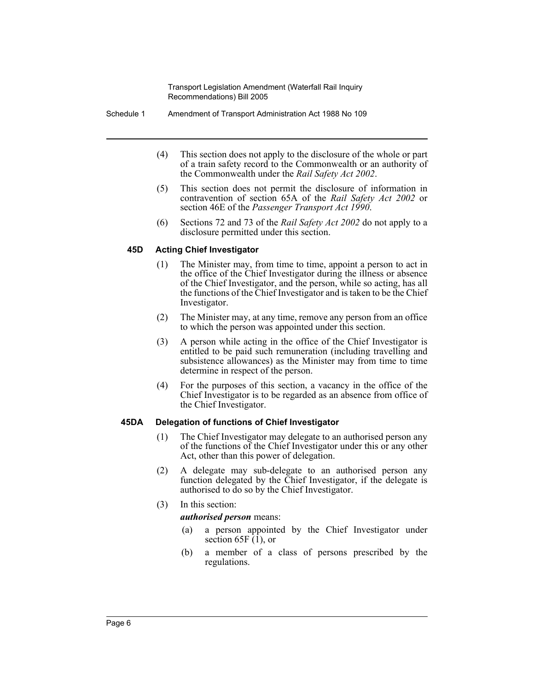- Schedule 1 Amendment of Transport Administration Act 1988 No 109
	- (4) This section does not apply to the disclosure of the whole or part of a train safety record to the Commonwealth or an authority of the Commonwealth under the *Rail Safety Act 2002*.
	- (5) This section does not permit the disclosure of information in contravention of section 65A of the *Rail Safety Act 2002* or section 46E of the *Passenger Transport Act 1990*.
	- (6) Sections 72 and 73 of the *Rail Safety Act 2002* do not apply to a disclosure permitted under this section.

#### **45D Acting Chief Investigator**

- (1) The Minister may, from time to time, appoint a person to act in the office of the Chief Investigator during the illness or absence of the Chief Investigator, and the person, while so acting, has all the functions of the Chief Investigator and is taken to be the Chief Investigator.
- (2) The Minister may, at any time, remove any person from an office to which the person was appointed under this section.
- (3) A person while acting in the office of the Chief Investigator is entitled to be paid such remuneration (including travelling and subsistence allowances) as the Minister may from time to time determine in respect of the person.
- (4) For the purposes of this section, a vacancy in the office of the Chief Investigator is to be regarded as an absence from office of the Chief Investigator.

#### **45DA Delegation of functions of Chief Investigator**

- (1) The Chief Investigator may delegate to an authorised person any of the functions of the Chief Investigator under this or any other Act, other than this power of delegation.
- (2) A delegate may sub-delegate to an authorised person any function delegated by the Chief Investigator, if the delegate is authorised to do so by the Chief Investigator.
- (3) In this section:

#### *authorised person* means:

- (a) a person appointed by the Chief Investigator under section 65F $(1)$ , or
- (b) a member of a class of persons prescribed by the regulations.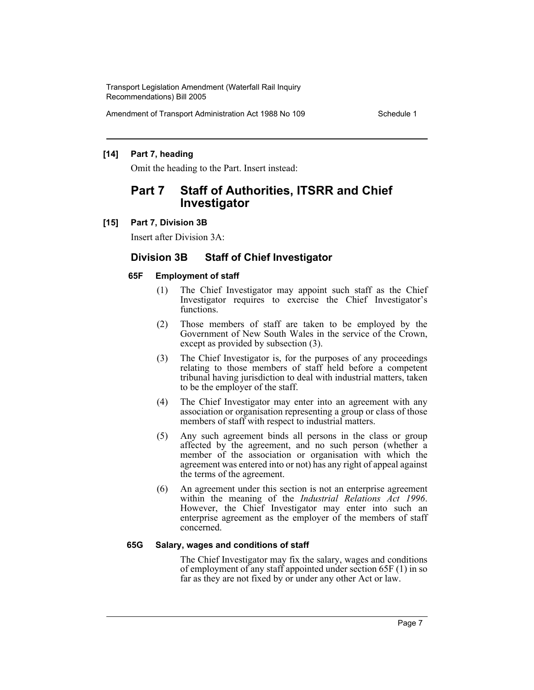Amendment of Transport Administration Act 1988 No 109 Schedule 1

## **[14] Part 7, heading**

Omit the heading to the Part. Insert instead:

# **Part 7 Staff of Authorities, ITSRR and Chief Investigator**

#### **[15] Part 7, Division 3B**

Insert after Division 3A:

## **Division 3B Staff of Chief Investigator**

#### **65F Employment of staff**

- (1) The Chief Investigator may appoint such staff as the Chief Investigator requires to exercise the Chief Investigator's functions.
- (2) Those members of staff are taken to be employed by the Government of New South Wales in the service of the Crown, except as provided by subsection (3).
- (3) The Chief Investigator is, for the purposes of any proceedings relating to those members of staff held before a competent tribunal having jurisdiction to deal with industrial matters, taken to be the employer of the staff.
- (4) The Chief Investigator may enter into an agreement with any association or organisation representing a group or class of those members of staff with respect to industrial matters.
- (5) Any such agreement binds all persons in the class or group affected by the agreement, and no such person (whether a member of the association or organisation with which the agreement was entered into or not) has any right of appeal against the terms of the agreement.
- (6) An agreement under this section is not an enterprise agreement within the meaning of the *Industrial Relations Act 1996*. However, the Chief Investigator may enter into such an enterprise agreement as the employer of the members of staff concerned.

#### **65G Salary, wages and conditions of staff**

The Chief Investigator may fix the salary, wages and conditions of employment of any staff appointed under section 65F (1) in so far as they are not fixed by or under any other Act or law.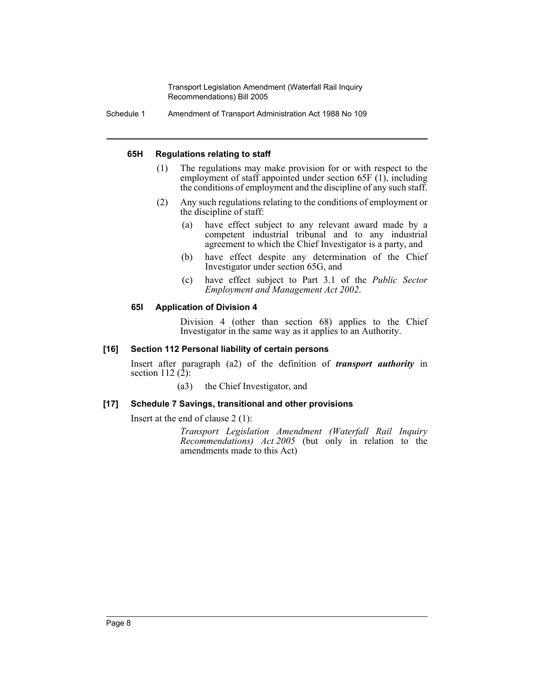Schedule 1 Amendment of Transport Administration Act 1988 No 109

#### **65H Regulations relating to staff**

- (1) The regulations may make provision for or with respect to the employment of staff appointed under section 65F (1), including the conditions of employment and the discipline of any such staff.
- (2) Any such regulations relating to the conditions of employment or the discipline of staff:
	- (a) have effect subject to any relevant award made by a competent industrial tribunal and to any industrial agreement to which the Chief Investigator is a party, and
	- (b) have effect despite any determination of the Chief Investigator under section 65G, and
	- (c) have effect subject to Part 3.1 of the *Public Sector Employment and Management Act 2002*.

#### **65I Application of Division 4**

Division 4 (other than section 68) applies to the Chief Investigator in the same way as it applies to an Authority.

#### **[16] Section 112 Personal liability of certain persons**

Insert after paragraph (a2) of the definition of *transport authority* in section 112 $(\hat{2})$ :

(a3) the Chief Investigator, and

## **[17] Schedule 7 Savings, transitional and other provisions**

Insert at the end of clause 2 (1):

*Transport Legislation Amendment (Waterfall Rail Inquiry Recommendations) Act 2005* (but only in relation to the amendments made to this Act)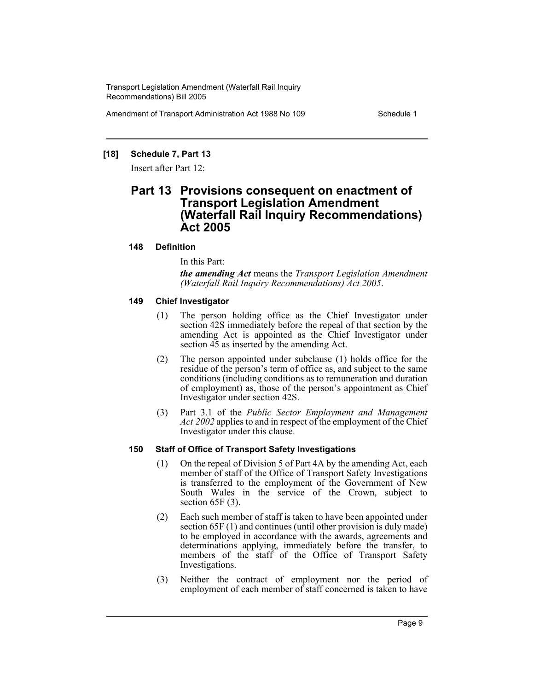Amendment of Transport Administration Act 1988 No 109 Schedule 1

## **[18] Schedule 7, Part 13**

Insert after Part 12:

# **Part 13 Provisions consequent on enactment of Transport Legislation Amendment (Waterfall Rail Inquiry Recommendations) Act 2005**

## **148 Definition**

In this Part:

*the amending Act* means the *Transport Legislation Amendment (Waterfall Rail Inquiry Recommendations) Act 2005*.

#### **149 Chief Investigator**

- (1) The person holding office as the Chief Investigator under section 42S immediately before the repeal of that section by the amending Act is appointed as the Chief Investigator under section  $\overline{45}$  as inserted by the amending Act.
- (2) The person appointed under subclause (1) holds office for the residue of the person's term of office as, and subject to the same conditions (including conditions as to remuneration and duration of employment) as, those of the person's appointment as Chief Investigator under section 42S.
- (3) Part 3.1 of the *Public Sector Employment and Management Act 2002* applies to and in respect of the employment of the Chief Investigator under this clause.

## **150 Staff of Office of Transport Safety Investigations**

- (1) On the repeal of Division 5 of Part 4A by the amending Act, each member of staff of the Office of Transport Safety Investigations is transferred to the employment of the Government of New South Wales in the service of the Crown, subject to section 65F (3).
- (2) Each such member of staff is taken to have been appointed under section 65F (1) and continues (until other provision is duly made) to be employed in accordance with the awards, agreements and determinations applying, immediately before the transfer, to members of the staff of the Office of Transport Safety Investigations.
- (3) Neither the contract of employment nor the period of employment of each member of staff concerned is taken to have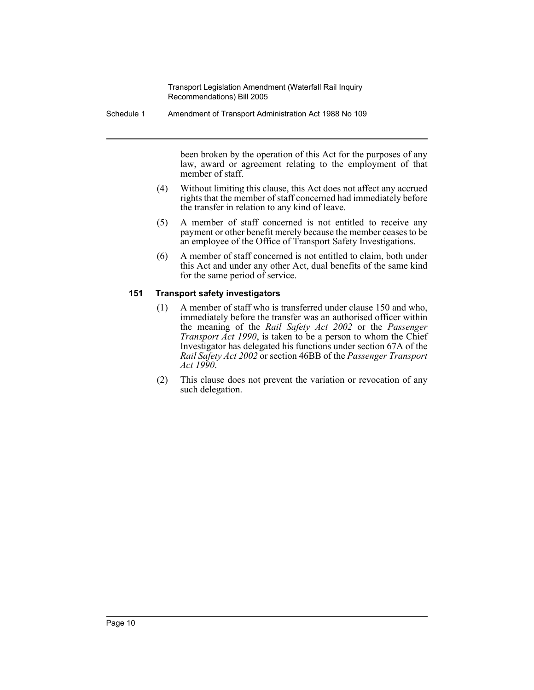Schedule 1 Amendment of Transport Administration Act 1988 No 109

been broken by the operation of this Act for the purposes of any law, award or agreement relating to the employment of that member of staff.

- (4) Without limiting this clause, this Act does not affect any accrued rights that the member of staff concerned had immediately before the transfer in relation to any kind of leave.
- (5) A member of staff concerned is not entitled to receive any payment or other benefit merely because the member ceases to be an employee of the Office of Transport Safety Investigations.
- (6) A member of staff concerned is not entitled to claim, both under this Act and under any other Act, dual benefits of the same kind for the same period of service.

## **151 Transport safety investigators**

- (1) A member of staff who is transferred under clause 150 and who, immediately before the transfer was an authorised officer within the meaning of the *Rail Safety Act 2002* or the *Passenger Transport Act 1990*, is taken to be a person to whom the Chief Investigator has delegated his functions under section 67A of the *Rail Safety Act 2002* or section 46BB of the *Passenger Transport Act 1990*.
- (2) This clause does not prevent the variation or revocation of any such delegation.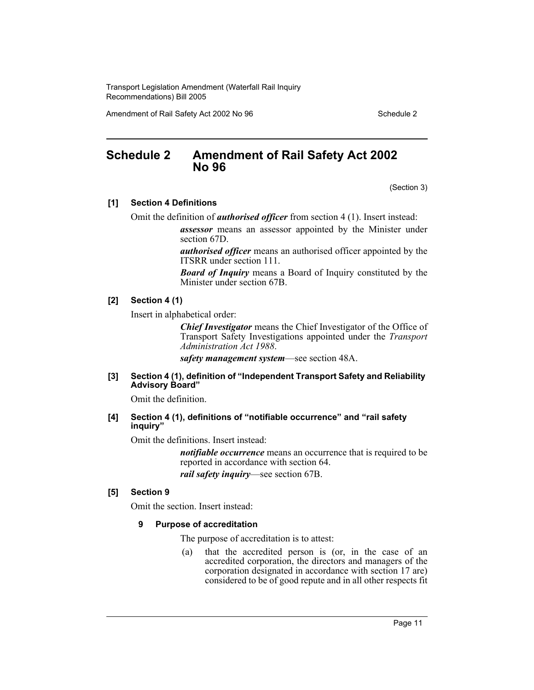Amendment of Rail Safety Act 2002 No 96 Schedule 2

## **Schedule 2 Amendment of Rail Safety Act 2002 No 96**

(Section 3)

#### **[1] Section 4 Definitions**

Omit the definition of *authorised officer* from section 4 (1). Insert instead:

*assessor* means an assessor appointed by the Minister under section 67D.

*authorised officer* means an authorised officer appointed by the ITSRR under section 111.

*Board of Inquiry* means a Board of Inquiry constituted by the Minister under section 67B.

#### **[2] Section 4 (1)**

Insert in alphabetical order:

*Chief Investigator* means the Chief Investigator of the Office of Transport Safety Investigations appointed under the *Transport Administration Act 1988*.

*safety management system*—see section 48A.

#### **[3] Section 4 (1), definition of "Independent Transport Safety and Reliability Advisory Board"**

Omit the definition.

#### **[4] Section 4 (1), definitions of "notifiable occurrence" and "rail safety inquiry"**

Omit the definitions. Insert instead:

*notifiable occurrence* means an occurrence that is required to be reported in accordance with section 64. *rail safety inquiry*—see section 67B.

#### **[5] Section 9**

Omit the section. Insert instead:

#### **9 Purpose of accreditation**

The purpose of accreditation is to attest:

(a) that the accredited person is (or, in the case of an accredited corporation, the directors and managers of the corporation designated in accordance with section 17 are) considered to be of good repute and in all other respects fit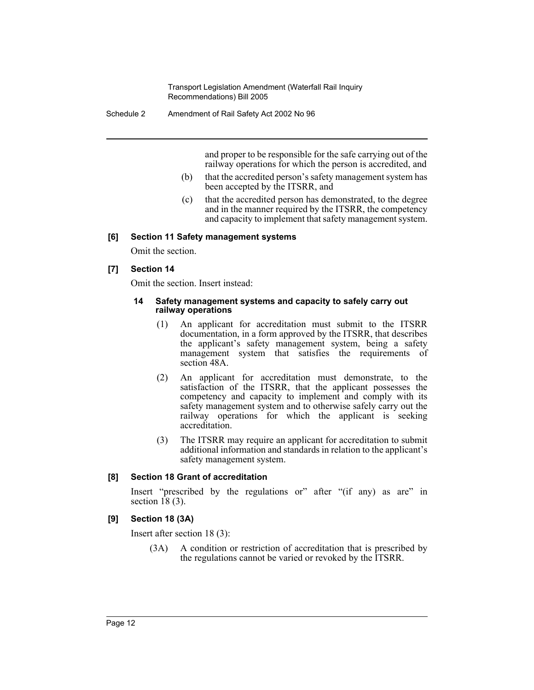Schedule 2 Amendment of Rail Safety Act 2002 No 96

and proper to be responsible for the safe carrying out of the railway operations for which the person is accredited, and

- (b) that the accredited person's safety management system has been accepted by the ITSRR, and
- (c) that the accredited person has demonstrated, to the degree and in the manner required by the ITSRR, the competency and capacity to implement that safety management system.

#### **[6] Section 11 Safety management systems**

Omit the section.

#### **[7] Section 14**

Omit the section. Insert instead:

#### **14 Safety management systems and capacity to safely carry out railway operations**

- (1) An applicant for accreditation must submit to the ITSRR documentation, in a form approved by the ITSRR, that describes the applicant's safety management system, being a safety management system that satisfies the requirements of section 48A.
- (2) An applicant for accreditation must demonstrate, to the satisfaction of the ITSRR, that the applicant possesses the competency and capacity to implement and comply with its safety management system and to otherwise safely carry out the railway operations for which the applicant is seeking accreditation.
- (3) The ITSRR may require an applicant for accreditation to submit additional information and standards in relation to the applicant's safety management system.

#### **[8] Section 18 Grant of accreditation**

Insert "prescribed by the regulations or" after "(if any) as are" in section  $18(3)$ .

#### **[9] Section 18 (3A)**

Insert after section 18 (3):

(3A) A condition or restriction of accreditation that is prescribed by the regulations cannot be varied or revoked by the ITSRR.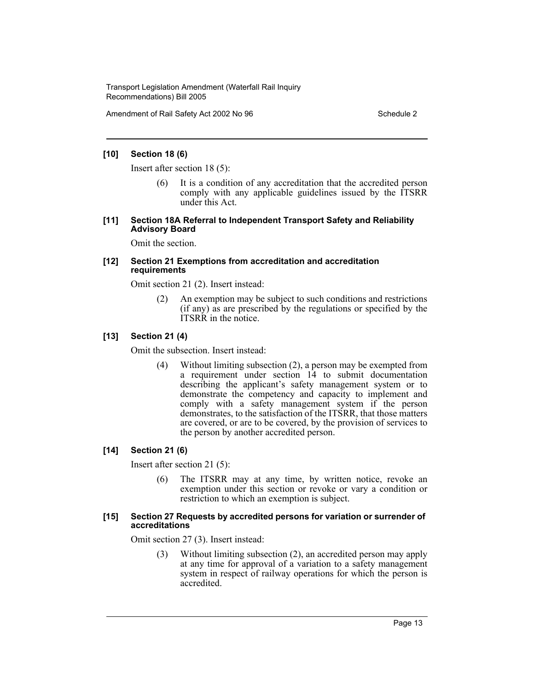Amendment of Rail Safety Act 2002 No 96 Schedule 2

#### **[10] Section 18 (6)**

Insert after section 18 (5):

(6) It is a condition of any accreditation that the accredited person comply with any applicable guidelines issued by the ITSRR under this Act.

#### **[11] Section 18A Referral to Independent Transport Safety and Reliability Advisory Board**

Omit the section.

#### **[12] Section 21 Exemptions from accreditation and accreditation requirements**

Omit section 21 (2). Insert instead:

(2) An exemption may be subject to such conditions and restrictions (if any) as are prescribed by the regulations or specified by the ITSRR in the notice.

#### **[13] Section 21 (4)**

Omit the subsection. Insert instead:

(4) Without limiting subsection (2), a person may be exempted from a requirement under section 14 to submit documentation describing the applicant's safety management system or to demonstrate the competency and capacity to implement and comply with a safety management system if the person demonstrates, to the satisfaction of the ITSRR, that those matters are covered, or are to be covered, by the provision of services to the person by another accredited person.

## **[14] Section 21 (6)**

Insert after section 21 (5):

(6) The ITSRR may at any time, by written notice, revoke an exemption under this section or revoke or vary a condition or restriction to which an exemption is subject.

#### **[15] Section 27 Requests by accredited persons for variation or surrender of accreditations**

Omit section 27 (3). Insert instead:

(3) Without limiting subsection (2), an accredited person may apply at any time for approval of a variation to a safety management system in respect of railway operations for which the person is accredited.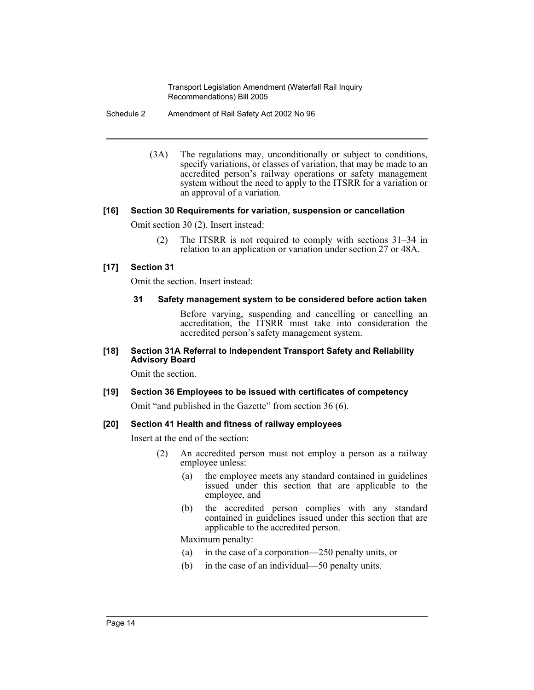Schedule 2 Amendment of Rail Safety Act 2002 No 96

(3A) The regulations may, unconditionally or subject to conditions, specify variations, or classes of variation, that may be made to an accredited person's railway operations or safety management system without the need to apply to the ITSRR for a variation or an approval of a variation.

## **[16] Section 30 Requirements for variation, suspension or cancellation**

Omit section 30 (2). Insert instead:

(2) The ITSRR is not required to comply with sections 31–34 in relation to an application or variation under section 27 or 48A.

## **[17] Section 31**

Omit the section. Insert instead:

#### **31 Safety management system to be considered before action taken**

Before varying, suspending and cancelling or cancelling an accreditation, the ITSRR must take into consideration the accredited person's safety management system.

#### **[18] Section 31A Referral to Independent Transport Safety and Reliability Advisory Board**

Omit the section.

# **[19] Section 36 Employees to be issued with certificates of competency**

Omit "and published in the Gazette" from section 36 (6).

## **[20] Section 41 Health and fitness of railway employees**

Insert at the end of the section:

- (2) An accredited person must not employ a person as a railway employee unless:
	- (a) the employee meets any standard contained in guidelines issued under this section that are applicable to the employee, and
	- (b) the accredited person complies with any standard contained in guidelines issued under this section that are applicable to the accredited person.

Maximum penalty:

- (a) in the case of a corporation—250 penalty units, or
- (b) in the case of an individual—50 penalty units.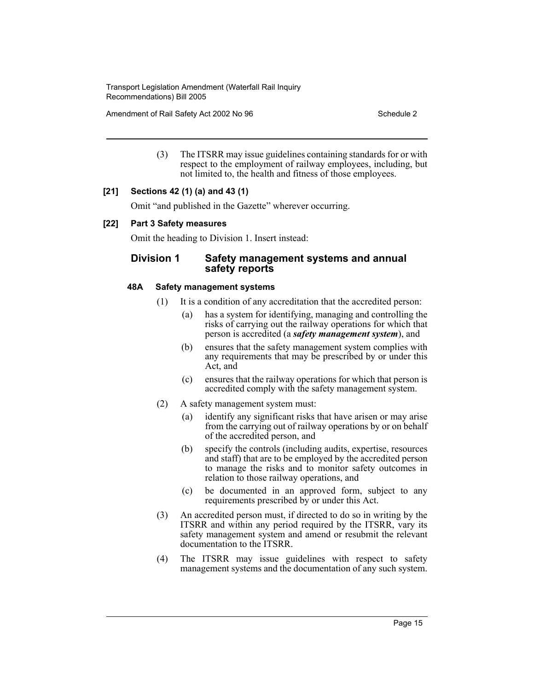Amendment of Rail Safety Act 2002 No 96 Schedule 2

(3) The ITSRR may issue guidelines containing standards for or with respect to the employment of railway employees, including, but not limited to, the health and fitness of those employees.

## **[21] Sections 42 (1) (a) and 43 (1)**

Omit "and published in the Gazette" wherever occurring.

#### **[22] Part 3 Safety measures**

Omit the heading to Division 1. Insert instead:

## **Division 1 Safety management systems and annual safety reports**

## **48A Safety management systems**

- (1) It is a condition of any accreditation that the accredited person:
	- (a) has a system for identifying, managing and controlling the risks of carrying out the railway operations for which that person is accredited (a *safety management system*), and
	- (b) ensures that the safety management system complies with any requirements that may be prescribed by or under this Act, and
	- (c) ensures that the railway operations for which that person is accredited comply with the safety management system.
- (2) A safety management system must:
	- (a) identify any significant risks that have arisen or may arise from the carrying out of railway operations by or on behalf of the accredited person, and
	- (b) specify the controls (including audits, expertise, resources and staff) that are to be employed by the accredited person to manage the risks and to monitor safety outcomes in relation to those railway operations, and
	- (c) be documented in an approved form, subject to any requirements prescribed by or under this Act.
- (3) An accredited person must, if directed to do so in writing by the ITSRR and within any period required by the ITSRR, vary its safety management system and amend or resubmit the relevant documentation to the ITSRR.
- (4) The ITSRR may issue guidelines with respect to safety management systems and the documentation of any such system.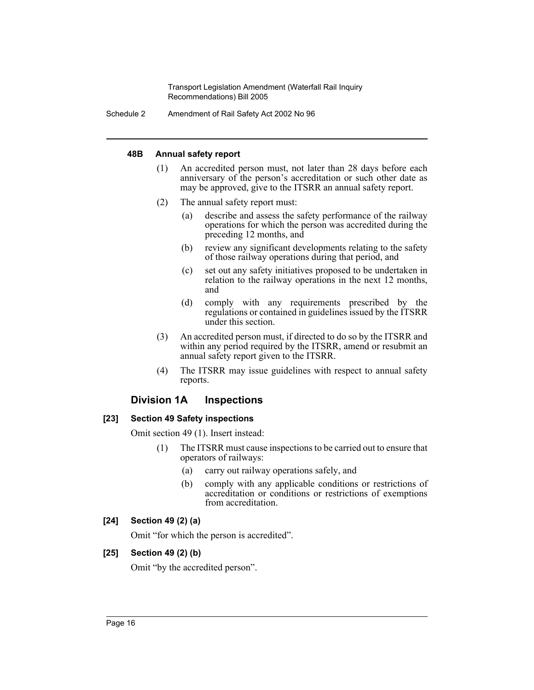Schedule 2 Amendment of Rail Safety Act 2002 No 96

## **48B Annual safety report**

- (1) An accredited person must, not later than 28 days before each anniversary of the person's accreditation or such other date as may be approved, give to the ITSRR an annual safety report.
- (2) The annual safety report must:
	- (a) describe and assess the safety performance of the railway operations for which the person was accredited during the preceding 12 months, and
	- (b) review any significant developments relating to the safety of those railway operations during that period, and
	- (c) set out any safety initiatives proposed to be undertaken in relation to the railway operations in the next 12 months, and
	- (d) comply with any requirements prescribed by the regulations or contained in guidelines issued by the ITSRR under this section.
- (3) An accredited person must, if directed to do so by the ITSRR and within any period required by the ITSRR, amend or resubmit an annual safety report given to the ITSRR.
- (4) The ITSRR may issue guidelines with respect to annual safety reports.

## **Division 1A Inspections**

## **[23] Section 49 Safety inspections**

Omit section 49 (1). Insert instead:

- (1) The ITSRR must cause inspections to be carried out to ensure that operators of railways:
	- (a) carry out railway operations safely, and
	- (b) comply with any applicable conditions or restrictions of accreditation or conditions or restrictions of exemptions from accreditation.

## **[24] Section 49 (2) (a)**

Omit "for which the person is accredited".

## **[25] Section 49 (2) (b)**

Omit "by the accredited person".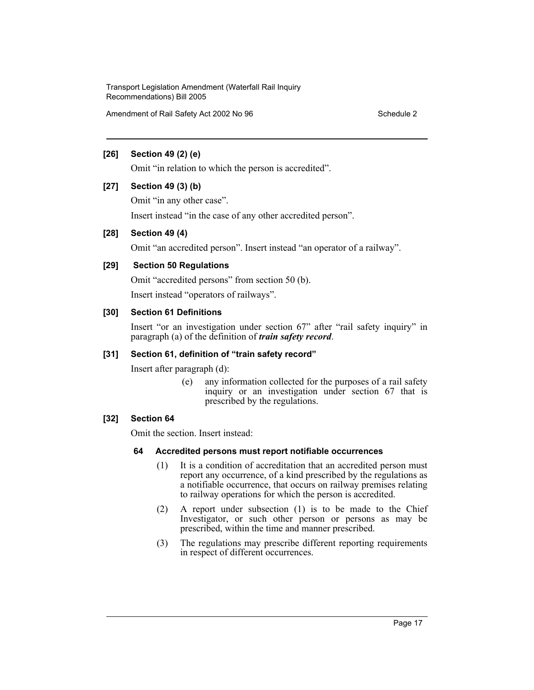Amendment of Rail Safety Act 2002 No 96 Schedule 2

#### **[26] Section 49 (2) (e)**

Omit "in relation to which the person is accredited".

#### **[27] Section 49 (3) (b)**

Omit "in any other case".

Insert instead "in the case of any other accredited person".

#### **[28] Section 49 (4)**

Omit "an accredited person". Insert instead "an operator of a railway".

## **[29] Section 50 Regulations**

Omit "accredited persons" from section 50 (b).

Insert instead "operators of railways".

#### **[30] Section 61 Definitions**

Insert "or an investigation under section 67" after "rail safety inquiry" in paragraph (a) of the definition of *train safety record*.

#### **[31] Section 61, definition of "train safety record"**

Insert after paragraph (d):

(e) any information collected for the purposes of a rail safety inquiry or an investigation under section 67 that is prescribed by the regulations.

## **[32] Section 64**

Omit the section. Insert instead:

#### **64 Accredited persons must report notifiable occurrences**

- (1) It is a condition of accreditation that an accredited person must report any occurrence, of a kind prescribed by the regulations as a notifiable occurrence, that occurs on railway premises relating to railway operations for which the person is accredited.
- (2) A report under subsection (1) is to be made to the Chief Investigator, or such other person or persons as may be prescribed, within the time and manner prescribed.
- (3) The regulations may prescribe different reporting requirements in respect of different occurrences.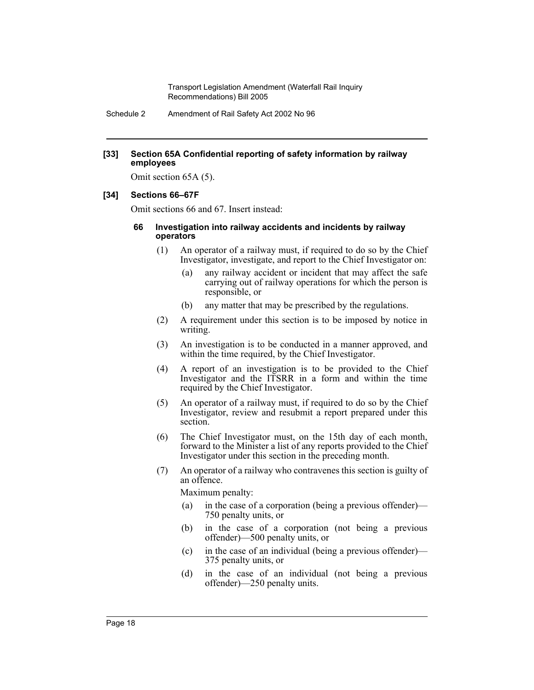Schedule 2 Amendment of Rail Safety Act 2002 No 96

#### **[33] Section 65A Confidential reporting of safety information by railway employees**

Omit section 65A (5).

#### **[34] Sections 66–67F**

Omit sections 66 and 67. Insert instead:

#### **66 Investigation into railway accidents and incidents by railway operators**

- (1) An operator of a railway must, if required to do so by the Chief Investigator, investigate, and report to the Chief Investigator on:
	- (a) any railway accident or incident that may affect the safe carrying out of railway operations for which the person is responsible, or
	- (b) any matter that may be prescribed by the regulations.
- (2) A requirement under this section is to be imposed by notice in writing.
- (3) An investigation is to be conducted in a manner approved, and within the time required, by the Chief Investigator.
- (4) A report of an investigation is to be provided to the Chief Investigator and the ITSRR in a form and within the time required by the Chief Investigator.
- (5) An operator of a railway must, if required to do so by the Chief Investigator, review and resubmit a report prepared under this section.
- (6) The Chief Investigator must, on the 15th day of each month, forward to the Minister a list of any reports provided to the Chief Investigator under this section in the preceding month.
- (7) An operator of a railway who contravenes this section is guilty of an offence.

Maximum penalty:

- (a) in the case of a corporation (being a previous offender)— 750 penalty units, or
- (b) in the case of a corporation (not being a previous offender)—500 penalty units, or
- (c) in the case of an individual (being a previous offender)— 375 penalty units, or
- (d) in the case of an individual (not being a previous offender)—250 penalty units.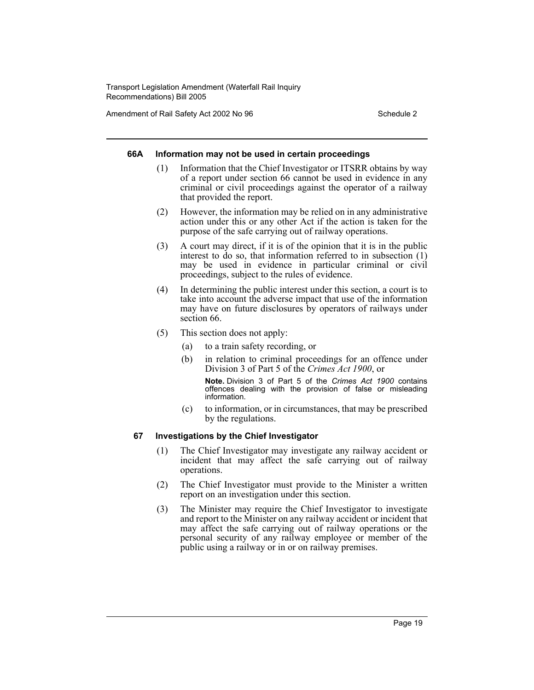Amendment of Rail Safety Act 2002 No 96 Schedule 2

#### **66A Information may not be used in certain proceedings**

- (1) Information that the Chief Investigator or ITSRR obtains by way of a report under section 66 cannot be used in evidence in any criminal or civil proceedings against the operator of a railway that provided the report.
- (2) However, the information may be relied on in any administrative action under this or any other Act if the action is taken for the purpose of the safe carrying out of railway operations.
- (3) A court may direct, if it is of the opinion that it is in the public interest to do so, that information referred to in subsection (1) may be used in evidence in particular criminal or civil proceedings, subject to the rules of evidence.
- (4) In determining the public interest under this section, a court is to take into account the adverse impact that use of the information may have on future disclosures by operators of railways under section 66.
- (5) This section does not apply:
	- (a) to a train safety recording, or
	- (b) in relation to criminal proceedings for an offence under Division 3 of Part 5 of the *Crimes Act 1900*, or **Note.** Division 3 of Part 5 of the *Crimes Act 1900* contains

offences dealing with the provision of false or misleading information.

(c) to information, or in circumstances, that may be prescribed by the regulations.

## **67 Investigations by the Chief Investigator**

- (1) The Chief Investigator may investigate any railway accident or incident that may affect the safe carrying out of railway operations.
- (2) The Chief Investigator must provide to the Minister a written report on an investigation under this section.
- (3) The Minister may require the Chief Investigator to investigate and report to the Minister on any railway accident or incident that may affect the safe carrying out of railway operations or the personal security of any railway employee or member of the public using a railway or in or on railway premises.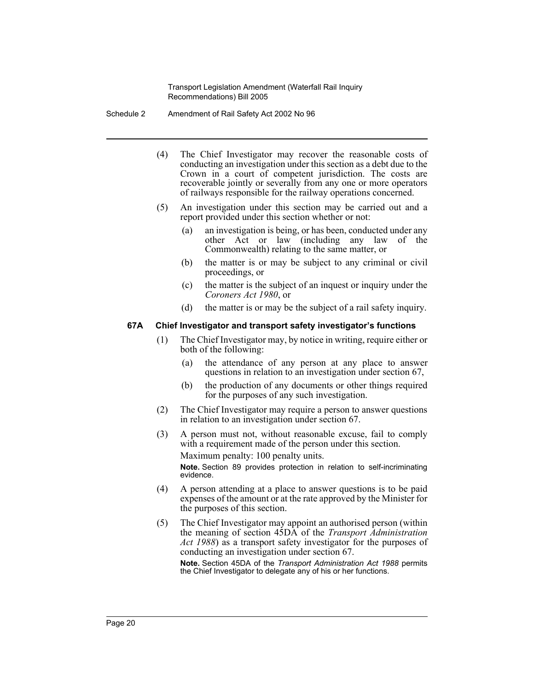Schedule 2 Amendment of Rail Safety Act 2002 No 96

- (4) The Chief Investigator may recover the reasonable costs of conducting an investigation under this section as a debt due to the Crown in a court of competent jurisdiction. The costs are recoverable jointly or severally from any one or more operators of railways responsible for the railway operations concerned.
- (5) An investigation under this section may be carried out and a report provided under this section whether or not:
	- (a) an investigation is being, or has been, conducted under any other Act or law (including any law of the Commonwealth) relating to the same matter, or
	- (b) the matter is or may be subject to any criminal or civil proceedings, or
	- (c) the matter is the subject of an inquest or inquiry under the *Coroners Act 1980*, or
	- (d) the matter is or may be the subject of a rail safety inquiry.

#### **67A Chief Investigator and transport safety investigator's functions**

- (1) The Chief Investigator may, by notice in writing, require either or both of the following:
	- (a) the attendance of any person at any place to answer questions in relation to an investigation under section 67,
	- (b) the production of any documents or other things required for the purposes of any such investigation.
- (2) The Chief Investigator may require a person to answer questions in relation to an investigation under section 67.
- (3) A person must not, without reasonable excuse, fail to comply with a requirement made of the person under this section. Maximum penalty: 100 penalty units. **Note.** Section 89 provides protection in relation to self-incriminating

evidence.

- (4) A person attending at a place to answer questions is to be paid expenses of the amount or at the rate approved by the Minister for the purposes of this section.
- (5) The Chief Investigator may appoint an authorised person (within the meaning of section 45DA of the *Transport Administration Act 1988*) as a transport safety investigator for the purposes of conducting an investigation under section 67.

**Note.** Section 45DA of the *Transport Administration Act 1988* permits the Chief Investigator to delegate any of his or her functions.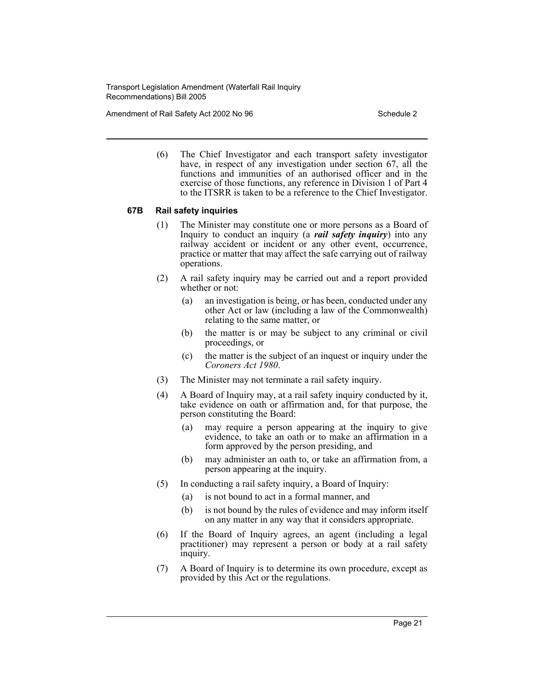Amendment of Rail Safety Act 2002 No 96 Schedule 2

(6) The Chief Investigator and each transport safety investigator have, in respect of any investigation under section 67, all the functions and immunities of an authorised officer and in the exercise of those functions, any reference in Division 1 of Part 4 to the ITSRR is taken to be a reference to the Chief Investigator.

#### **67B Rail safety inquiries**

- (1) The Minister may constitute one or more persons as a Board of Inquiry to conduct an inquiry (a *rail safety inquiry*) into any railway accident or incident or any other event, occurrence, practice or matter that may affect the safe carrying out of railway operations.
- (2) A rail safety inquiry may be carried out and a report provided whether or not:
	- (a) an investigation is being, or has been, conducted under any other Act or law (including a law of the Commonwealth) relating to the same matter, or
	- (b) the matter is or may be subject to any criminal or civil proceedings, or
	- (c) the matter is the subject of an inquest or inquiry under the *Coroners Act 1980*.
- (3) The Minister may not terminate a rail safety inquiry.
- (4) A Board of Inquiry may, at a rail safety inquiry conducted by it, take evidence on oath or affirmation and, for that purpose, the person constituting the Board:
	- (a) may require a person appearing at the inquiry to give evidence, to take an oath or to make an affirmation in a form approved by the person presiding, and
	- (b) may administer an oath to, or take an affirmation from, a person appearing at the inquiry.
- (5) In conducting a rail safety inquiry, a Board of Inquiry:
	- (a) is not bound to act in a formal manner, and
	- (b) is not bound by the rules of evidence and may inform itself on any matter in any way that it considers appropriate.
- (6) If the Board of Inquiry agrees, an agent (including a legal practitioner) may represent a person or body at a rail safety inquiry.
- (7) A Board of Inquiry is to determine its own procedure, except as provided by this Act or the regulations.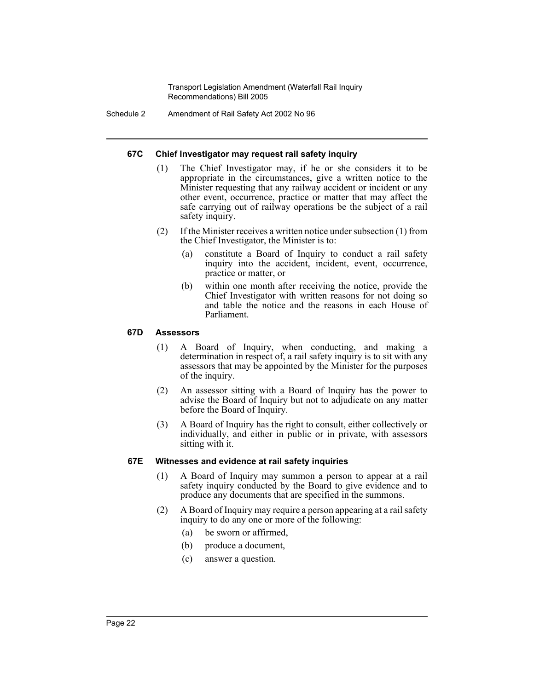Schedule 2 Amendment of Rail Safety Act 2002 No 96

#### **67C Chief Investigator may request rail safety inquiry**

- (1) The Chief Investigator may, if he or she considers it to be appropriate in the circumstances, give a written notice to the Minister requesting that any railway accident or incident or any other event, occurrence, practice or matter that may affect the safe carrying out of railway operations be the subject of a rail safety inquiry.
- (2) If the Minister receives a written notice under subsection (1) from the Chief Investigator, the Minister is to:
	- (a) constitute a Board of Inquiry to conduct a rail safety inquiry into the accident, incident, event, occurrence, practice or matter, or
	- (b) within one month after receiving the notice, provide the Chief Investigator with written reasons for not doing so and table the notice and the reasons in each House of Parliament.

#### **67D Assessors**

- (1) A Board of Inquiry, when conducting, and making a determination in respect of, a rail safety inquiry is to sit with any assessors that may be appointed by the Minister for the purposes of the inquiry.
- (2) An assessor sitting with a Board of Inquiry has the power to advise the Board of Inquiry but not to adjudicate on any matter before the Board of Inquiry.
- (3) A Board of Inquiry has the right to consult, either collectively or individually, and either in public or in private, with assessors sitting with it.

#### **67E Witnesses and evidence at rail safety inquiries**

- (1) A Board of Inquiry may summon a person to appear at a rail safety inquiry conducted by the Board to give evidence and to produce any documents that are specified in the summons.
- (2) A Board of Inquiry may require a person appearing at a rail safety inquiry to do any one or more of the following:
	- (a) be sworn or affirmed,
	- (b) produce a document,
	- (c) answer a question.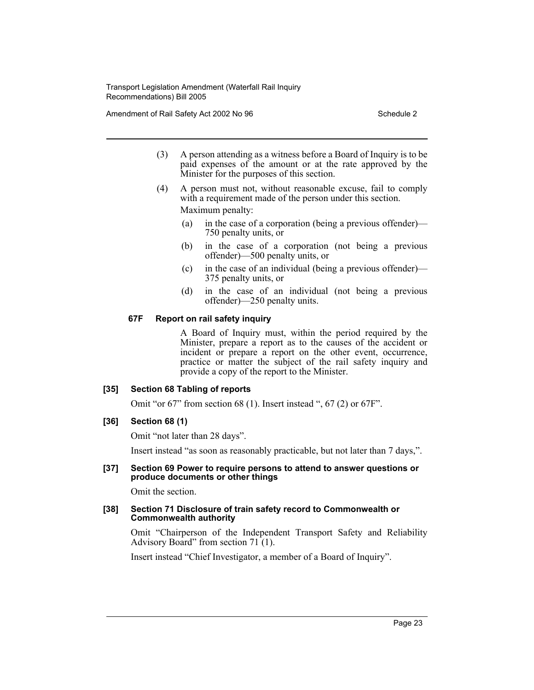Amendment of Rail Safety Act 2002 No 96 Schedule 2

- (3) A person attending as a witness before a Board of Inquiry is to be paid expenses of the amount or at the rate approved by the Minister for the purposes of this section.
- (4) A person must not, without reasonable excuse, fail to comply with a requirement made of the person under this section. Maximum penalty:
	- (a) in the case of a corporation (being a previous offender)— 750 penalty units, or
	- (b) in the case of a corporation (not being a previous offender)—500 penalty units, or
	- (c) in the case of an individual (being a previous offender)— 375 penalty units, or
	- (d) in the case of an individual (not being a previous offender)—250 penalty units.

#### **67F Report on rail safety inquiry**

A Board of Inquiry must, within the period required by the Minister, prepare a report as to the causes of the accident or incident or prepare a report on the other event, occurrence, practice or matter the subject of the rail safety inquiry and provide a copy of the report to the Minister.

#### **[35] Section 68 Tabling of reports**

Omit "or 67" from section 68 (1). Insert instead ", 67 (2) or 67F".

#### **[36] Section 68 (1)**

Omit "not later than 28 days".

Insert instead "as soon as reasonably practicable, but not later than 7 days,".

#### **[37] Section 69 Power to require persons to attend to answer questions or produce documents or other things**

Omit the section.

#### **[38] Section 71 Disclosure of train safety record to Commonwealth or Commonwealth authority**

Omit "Chairperson of the Independent Transport Safety and Reliability Advisory Board" from section  $71(1)$ .

Insert instead "Chief Investigator, a member of a Board of Inquiry".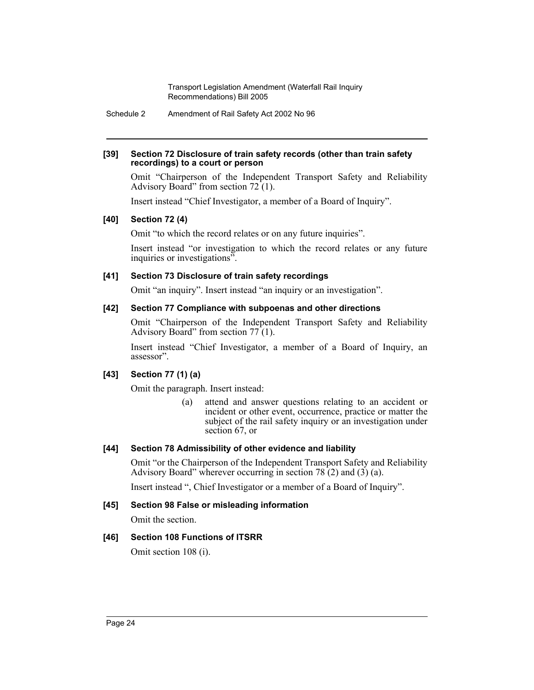Schedule 2 Amendment of Rail Safety Act 2002 No 96

#### **[39] Section 72 Disclosure of train safety records (other than train safety recordings) to a court or person**

Omit "Chairperson of the Independent Transport Safety and Reliability Advisory Board" from section  $72(1)$ .

Insert instead "Chief Investigator, a member of a Board of Inquiry".

## **[40] Section 72 (4)**

Omit "to which the record relates or on any future inquiries".

Insert instead "or investigation to which the record relates or any future inquiries or investigations".

## **[41] Section 73 Disclosure of train safety recordings**

Omit "an inquiry". Insert instead "an inquiry or an investigation".

## **[42] Section 77 Compliance with subpoenas and other directions**

Omit "Chairperson of the Independent Transport Safety and Reliability Advisory Board" from section  $77(1)$ .

Insert instead "Chief Investigator, a member of a Board of Inquiry, an assessor".

## **[43] Section 77 (1) (a)**

Omit the paragraph. Insert instead:

(a) attend and answer questions relating to an accident or incident or other event, occurrence, practice or matter the subject of the rail safety inquiry or an investigation under section 67, or

## **[44] Section 78 Admissibility of other evidence and liability**

Omit "or the Chairperson of the Independent Transport Safety and Reliability Advisory Board" wherever occurring in section  $78(2)$  and  $(3)(a)$ .

Insert instead ", Chief Investigator or a member of a Board of Inquiry".

## **[45] Section 98 False or misleading information**

Omit the section.

## **[46] Section 108 Functions of ITSRR**

Omit section 108 (i).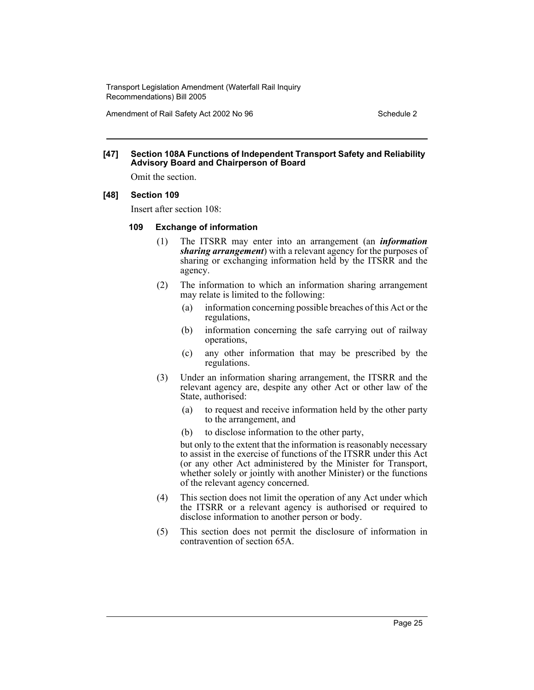Amendment of Rail Safety Act 2002 No 96 Schedule 2

#### **[47] Section 108A Functions of Independent Transport Safety and Reliability Advisory Board and Chairperson of Board**

Omit the section.

#### **[48] Section 109**

Insert after section 108:

#### **109 Exchange of information**

- (1) The ITSRR may enter into an arrangement (an *information sharing arrangement*) with a relevant agency for the purposes of sharing or exchanging information held by the ITSRR and the agency.
- (2) The information to which an information sharing arrangement may relate is limited to the following:
	- (a) information concerning possible breaches of this Act or the regulations,
	- (b) information concerning the safe carrying out of railway operations,
	- (c) any other information that may be prescribed by the regulations.
- (3) Under an information sharing arrangement, the ITSRR and the relevant agency are, despite any other Act or other law of the State, authorised:
	- (a) to request and receive information held by the other party to the arrangement, and
	- (b) to disclose information to the other party,

but only to the extent that the information is reasonably necessary to assist in the exercise of functions of the ITSRR under this Act (or any other Act administered by the Minister for Transport, whether solely or jointly with another Minister) or the functions of the relevant agency concerned.

- (4) This section does not limit the operation of any Act under which the ITSRR or a relevant agency is authorised or required to disclose information to another person or body.
- (5) This section does not permit the disclosure of information in contravention of section 65A.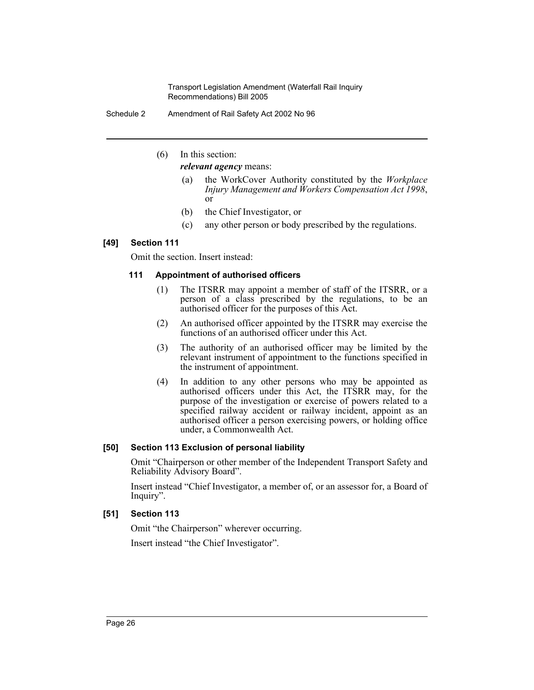Schedule 2 Amendment of Rail Safety Act 2002 No 96

(6) In this section:

*relevant agency* means:

- (a) the WorkCover Authority constituted by the *Workplace Injury Management and Workers Compensation Act 1998*, or
- (b) the Chief Investigator, or
- (c) any other person or body prescribed by the regulations.

## **[49] Section 111**

Omit the section. Insert instead:

## **111 Appointment of authorised officers**

- (1) The ITSRR may appoint a member of staff of the ITSRR, or a person of a class prescribed by the regulations, to be an authorised officer for the purposes of this Act.
- (2) An authorised officer appointed by the ITSRR may exercise the functions of an authorised officer under this Act.
- (3) The authority of an authorised officer may be limited by the relevant instrument of appointment to the functions specified in the instrument of appointment.
- (4) In addition to any other persons who may be appointed as authorised officers under this Act, the ITSRR may, for the purpose of the investigation or exercise of powers related to a specified railway accident or railway incident, appoint as an authorised officer a person exercising powers, or holding office under, a Commonwealth Act.

## **[50] Section 113 Exclusion of personal liability**

Omit "Chairperson or other member of the Independent Transport Safety and Reliability Advisory Board".

Insert instead "Chief Investigator, a member of, or an assessor for, a Board of Inquiry".

## **[51] Section 113**

Omit "the Chairperson" wherever occurring.

Insert instead "the Chief Investigator".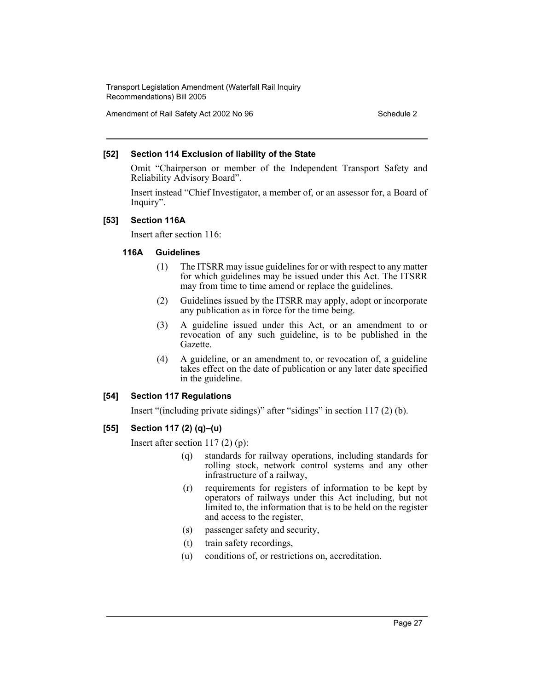Amendment of Rail Safety Act 2002 No 96 Schedule 2

#### **[52] Section 114 Exclusion of liability of the State**

Omit "Chairperson or member of the Independent Transport Safety and Reliability Advisory Board".

Insert instead "Chief Investigator, a member of, or an assessor for, a Board of Inquiry".

#### **[53] Section 116A**

Insert after section 116:

#### **116A Guidelines**

- (1) The ITSRR may issue guidelines for or with respect to any matter for which guidelines may be issued under this Act. The ITSRR may from time to time amend or replace the guidelines.
- (2) Guidelines issued by the ITSRR may apply, adopt or incorporate any publication as in force for the time being.
- (3) A guideline issued under this Act, or an amendment to or revocation of any such guideline, is to be published in the Gazette.
- (4) A guideline, or an amendment to, or revocation of, a guideline takes effect on the date of publication or any later date specified in the guideline.

## **[54] Section 117 Regulations**

Insert "(including private sidings)" after "sidings" in section 117 (2) (b).

## **[55] Section 117 (2) (q)–(u)**

Insert after section 117 (2) (p):

- (q) standards for railway operations, including standards for rolling stock, network control systems and any other infrastructure of a railway,
- (r) requirements for registers of information to be kept by operators of railways under this Act including, but not limited to, the information that is to be held on the register and access to the register,
- (s) passenger safety and security,
- (t) train safety recordings,
- (u) conditions of, or restrictions on, accreditation.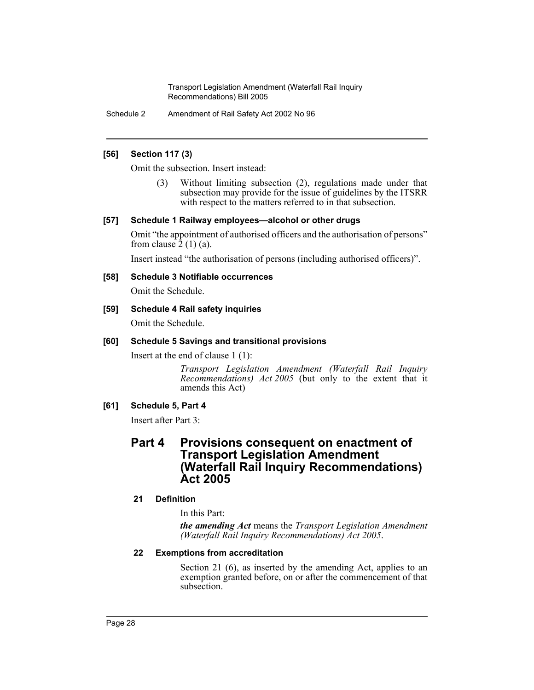Schedule 2 Amendment of Rail Safety Act 2002 No 96

#### **[56] Section 117 (3)**

Omit the subsection. Insert instead:

(3) Without limiting subsection (2), regulations made under that subsection may provide for the issue of guidelines by the ITSRR with respect to the matters referred to in that subsection.

#### **[57] Schedule 1 Railway employees—alcohol or other drugs**

Omit "the appointment of authorised officers and the authorisation of persons" from clause  $2(1)(a)$ .

Insert instead "the authorisation of persons (including authorised officers)".

#### **[58] Schedule 3 Notifiable occurrences**

Omit the Schedule.

#### **[59] Schedule 4 Rail safety inquiries**

Omit the Schedule.

#### **[60] Schedule 5 Savings and transitional provisions**

Insert at the end of clause 1 (1):

*Transport Legislation Amendment (Waterfall Rail Inquiry Recommendations) Act 2005* (but only to the extent that it amends this Act)

#### **[61] Schedule 5, Part 4**

Insert after Part 3:

## **Part 4 Provisions consequent on enactment of Transport Legislation Amendment (Waterfall Rail Inquiry Recommendations) Act 2005**

#### **21 Definition**

In this Part:

*the amending Act* means the *Transport Legislation Amendment (Waterfall Rail Inquiry Recommendations) Act 2005*.

#### **22 Exemptions from accreditation**

Section 21 (6), as inserted by the amending Act, applies to an exemption granted before, on or after the commencement of that subsection.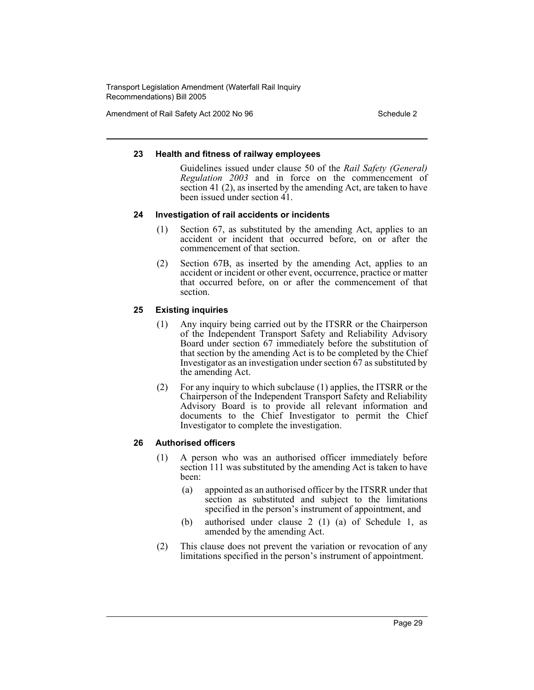Amendment of Rail Safety Act 2002 No 96 Schedule 2

#### **23 Health and fitness of railway employees**

Guidelines issued under clause 50 of the *Rail Safety (General) Regulation 2003* and in force on the commencement of section 41 (2), as inserted by the amending Act, are taken to have been issued under section 41.

#### **24 Investigation of rail accidents or incidents**

- (1) Section 67, as substituted by the amending Act, applies to an accident or incident that occurred before, on or after the commencement of that section.
- (2) Section 67B, as inserted by the amending Act, applies to an accident or incident or other event, occurrence, practice or matter that occurred before, on or after the commencement of that section.

#### **25 Existing inquiries**

- (1) Any inquiry being carried out by the ITSRR or the Chairperson of the Independent Transport Safety and Reliability Advisory Board under section 67 immediately before the substitution of that section by the amending Act is to be completed by the Chief Investigator as an investigation under section 67 as substituted by the amending Act.
- (2) For any inquiry to which subclause (1) applies, the ITSRR or the Chairperson of the Independent Transport Safety and Reliability Advisory Board is to provide all relevant information and documents to the Chief Investigator to permit the Chief Investigator to complete the investigation.

#### **26 Authorised officers**

- (1) A person who was an authorised officer immediately before section 111 was substituted by the amending Act is taken to have been:
	- (a) appointed as an authorised officer by the ITSRR under that section as substituted and subject to the limitations specified in the person's instrument of appointment, and
	- (b) authorised under clause 2 (1) (a) of Schedule 1, as amended by the amending Act.
- (2) This clause does not prevent the variation or revocation of any limitations specified in the person's instrument of appointment.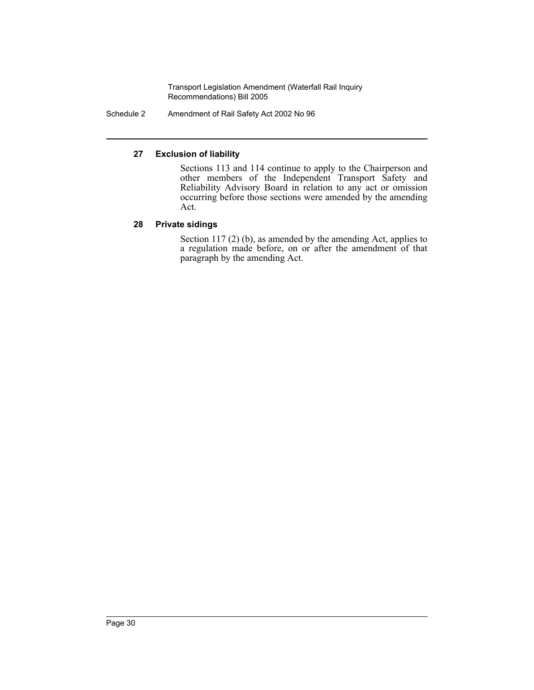Schedule 2 Amendment of Rail Safety Act 2002 No 96

## **27 Exclusion of liability**

Sections 113 and 114 continue to apply to the Chairperson and other members of the Independent Transport Safety and Reliability Advisory Board in relation to any act or omission occurring before those sections were amended by the amending Act.

## **28 Private sidings**

Section 117 (2) (b), as amended by the amending Act, applies to a regulation made before, on or after the amendment of that paragraph by the amending Act.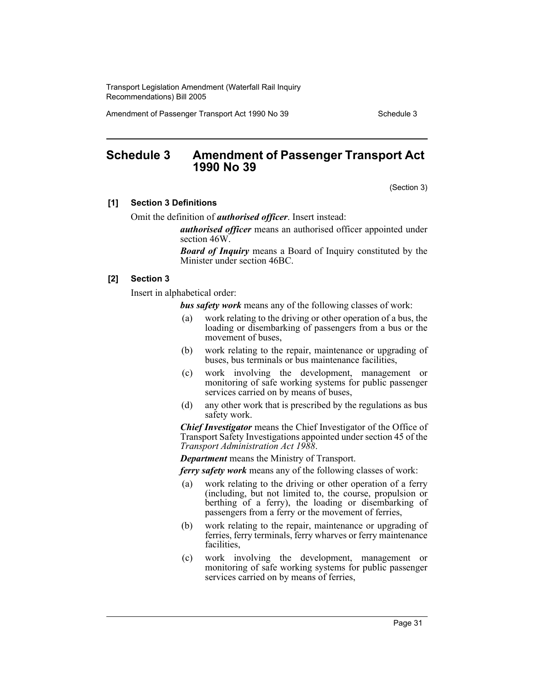Amendment of Passenger Transport Act 1990 No 39 Schedule 3

## **Schedule 3 Amendment of Passenger Transport Act 1990 No 39**

(Section 3)

#### **[1] Section 3 Definitions**

Omit the definition of *authorised officer*. Insert instead:

*authorised officer* means an authorised officer appointed under section 46W.

*Board of Inquiry* means a Board of Inquiry constituted by the Minister under section 46BC.

#### **[2] Section 3**

Insert in alphabetical order:

*bus safety work* means any of the following classes of work:

- (a) work relating to the driving or other operation of a bus, the loading or disembarking of passengers from a bus or the movement of buses,
- (b) work relating to the repair, maintenance or upgrading of buses, bus terminals or bus maintenance facilities,
- (c) work involving the development, management or monitoring of safe working systems for public passenger services carried on by means of buses,
- (d) any other work that is prescribed by the regulations as bus safety work.

*Chief Investigator* means the Chief Investigator of the Office of Transport Safety Investigations appointed under section 45 of the *Transport Administration Act 1988*.

*Department* means the Ministry of Transport.

*ferry safety work* means any of the following classes of work:

- (a) work relating to the driving or other operation of a ferry (including, but not limited to, the course, propulsion or berthing of a ferry), the loading or disembarking of passengers from a ferry or the movement of ferries,
- (b) work relating to the repair, maintenance or upgrading of ferries, ferry terminals, ferry wharves or ferry maintenance facilities,
- (c) work involving the development, management or monitoring of safe working systems for public passenger services carried on by means of ferries,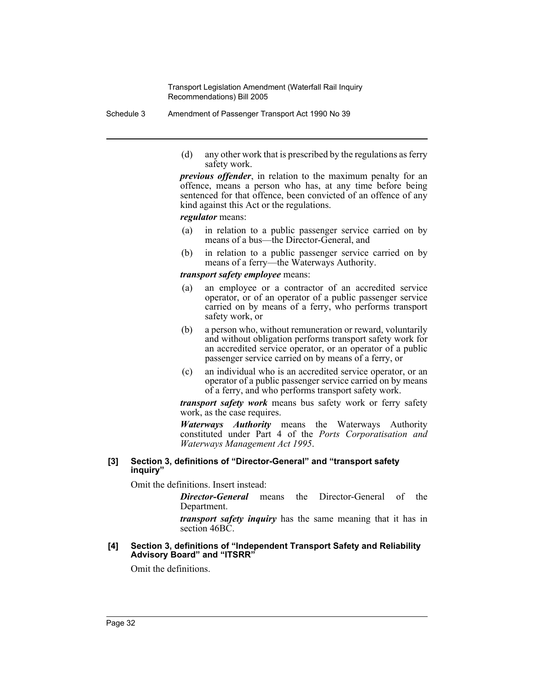Schedule 3 Amendment of Passenger Transport Act 1990 No 39

(d) any other work that is prescribed by the regulations as ferry safety work.

*previous offender*, in relation to the maximum penalty for an offence, means a person who has, at any time before being sentenced for that offence, been convicted of an offence of any kind against this Act or the regulations.

#### *regulator* means:

- (a) in relation to a public passenger service carried on by means of a bus—the Director-General, and
- (b) in relation to a public passenger service carried on by means of a ferry—the Waterways Authority.

#### *transport safety employee* means:

- (a) an employee or a contractor of an accredited service operator, or of an operator of a public passenger service carried on by means of a ferry, who performs transport safety work, or
- (b) a person who, without remuneration or reward, voluntarily and without obligation performs transport safety work for an accredited service operator, or an operator of a public passenger service carried on by means of a ferry, or
- (c) an individual who is an accredited service operator, or an operator of a public passenger service carried on by means of a ferry, and who performs transport safety work.

*transport safety work* means bus safety work or ferry safety work, as the case requires.

*Waterways Authority* means the Waterways Authority constituted under Part 4 of the *Ports Corporatisation and Waterways Management Act 1995*.

#### **[3] Section 3, definitions of "Director-General" and "transport safety inquiry"**

Omit the definitions. Insert instead:

*Director-General* means the Director-General of the Department.

*transport safety inquiry* has the same meaning that it has in section 46BC.

#### **[4] Section 3, definitions of "Independent Transport Safety and Reliability Advisory Board" and "ITSRR"**

Omit the definitions.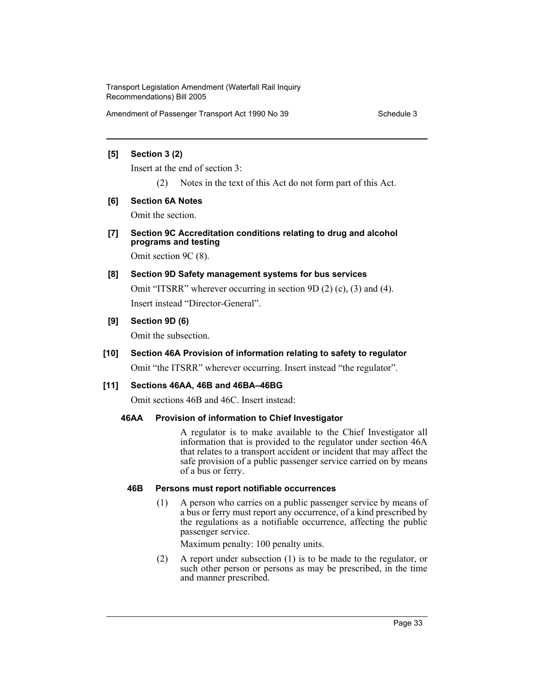Amendment of Passenger Transport Act 1990 No 39 Schedule 3

#### **[5] Section 3 (2)**

Insert at the end of section 3:

(2) Notes in the text of this Act do not form part of this Act.

## **[6] Section 6A Notes**

Omit the section.

**[7] Section 9C Accreditation conditions relating to drug and alcohol programs and testing**

Omit section 9C (8).

- **[8] Section 9D Safety management systems for bus services** Omit "ITSRR" wherever occurring in section 9D (2) (c), (3) and (4). Insert instead "Director-General".
- **[9] Section 9D (6)**

Omit the subsection.

**[10] Section 46A Provision of information relating to safety to regulator**

Omit "the ITSRR" wherever occurring. Insert instead "the regulator".

## **[11] Sections 46AA, 46B and 46BA–46BG**

Omit sections 46B and 46C. Insert instead:

## **46AA Provision of information to Chief Investigator**

A regulator is to make available to the Chief Investigator all information that is provided to the regulator under section 46A that relates to a transport accident or incident that may affect the safe provision of a public passenger service carried on by means of a bus or ferry.

## **46B Persons must report notifiable occurrences**

(1) A person who carries on a public passenger service by means of a bus or ferry must report any occurrence, of a kind prescribed by the regulations as a notifiable occurrence, affecting the public passenger service.

Maximum penalty: 100 penalty units.

(2) A report under subsection (1) is to be made to the regulator, or such other person or persons as may be prescribed, in the time and manner prescribed.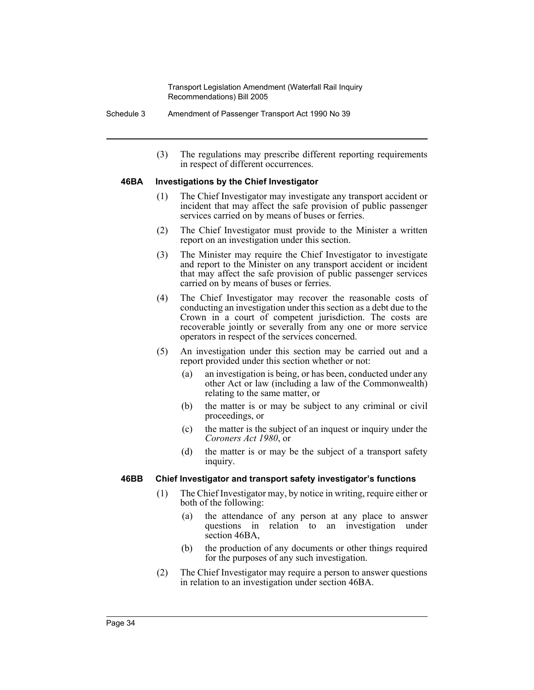Schedule 3 Amendment of Passenger Transport Act 1990 No 39

(3) The regulations may prescribe different reporting requirements in respect of different occurrences.

#### **46BA Investigations by the Chief Investigator**

- (1) The Chief Investigator may investigate any transport accident or incident that may affect the safe provision of public passenger services carried on by means of buses or ferries.
- (2) The Chief Investigator must provide to the Minister a written report on an investigation under this section.
- (3) The Minister may require the Chief Investigator to investigate and report to the Minister on any transport accident or incident that may affect the safe provision of public passenger services carried on by means of buses or ferries.
- (4) The Chief Investigator may recover the reasonable costs of conducting an investigation under this section as a debt due to the Crown in a court of competent jurisdiction. The costs are recoverable jointly or severally from any one or more service operators in respect of the services concerned.
- (5) An investigation under this section may be carried out and a report provided under this section whether or not:
	- (a) an investigation is being, or has been, conducted under any other Act or law (including a law of the Commonwealth) relating to the same matter, or
	- (b) the matter is or may be subject to any criminal or civil proceedings, or
	- (c) the matter is the subject of an inquest or inquiry under the *Coroners Act 1980*, or
	- (d) the matter is or may be the subject of a transport safety inquiry.

#### **46BB Chief Investigator and transport safety investigator's functions**

- (1) The Chief Investigator may, by notice in writing, require either or both of the following:
	- (a) the attendance of any person at any place to answer questions in relation to an investigation under section 46BA,
	- (b) the production of any documents or other things required for the purposes of any such investigation.
- (2) The Chief Investigator may require a person to answer questions in relation to an investigation under section 46BA.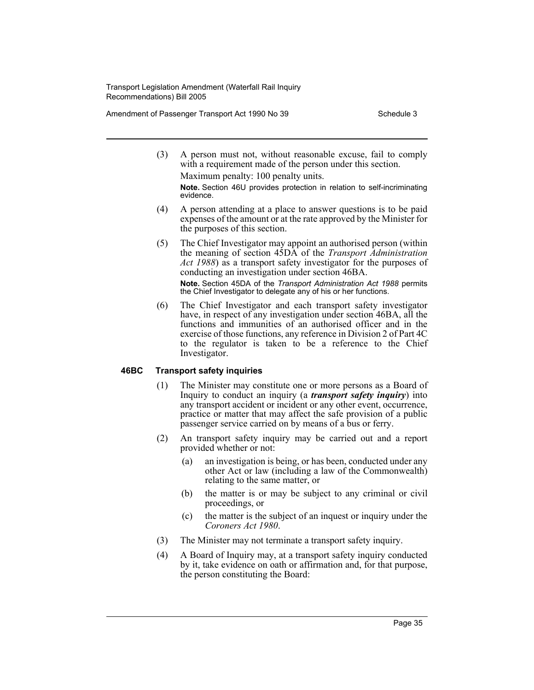Amendment of Passenger Transport Act 1990 No 39 Schedule 3

- (3) A person must not, without reasonable excuse, fail to comply with a requirement made of the person under this section. Maximum penalty: 100 penalty units. **Note.** Section 46U provides protection in relation to self-incriminating evidence.
- (4) A person attending at a place to answer questions is to be paid expenses of the amount or at the rate approved by the Minister for the purposes of this section.
- (5) The Chief Investigator may appoint an authorised person (within the meaning of section 45DA of the *Transport Administration Act 1988*) as a transport safety investigator for the purposes of conducting an investigation under section 46BA.

**Note.** Section 45DA of the *Transport Administration Act 1988* permits the Chief Investigator to delegate any of his or her functions.

(6) The Chief Investigator and each transport safety investigator have, in respect of any investigation under section 46BA, all the functions and immunities of an authorised officer and in the exercise of those functions, any reference in Division 2 of Part 4C to the regulator is taken to be a reference to the Chief Investigator.

## **46BC Transport safety inquiries**

- (1) The Minister may constitute one or more persons as a Board of Inquiry to conduct an inquiry (a *transport safety inquiry*) into any transport accident or incident or any other event, occurrence, practice or matter that may affect the safe provision of a public passenger service carried on by means of a bus or ferry.
- (2) An transport safety inquiry may be carried out and a report provided whether or not:
	- (a) an investigation is being, or has been, conducted under any other Act or law (including a law of the Commonwealth) relating to the same matter, or
	- (b) the matter is or may be subject to any criminal or civil proceedings, or
	- (c) the matter is the subject of an inquest or inquiry under the *Coroners Act 1980*.
- (3) The Minister may not terminate a transport safety inquiry.
- (4) A Board of Inquiry may, at a transport safety inquiry conducted by it, take evidence on oath or affirmation and, for that purpose, the person constituting the Board: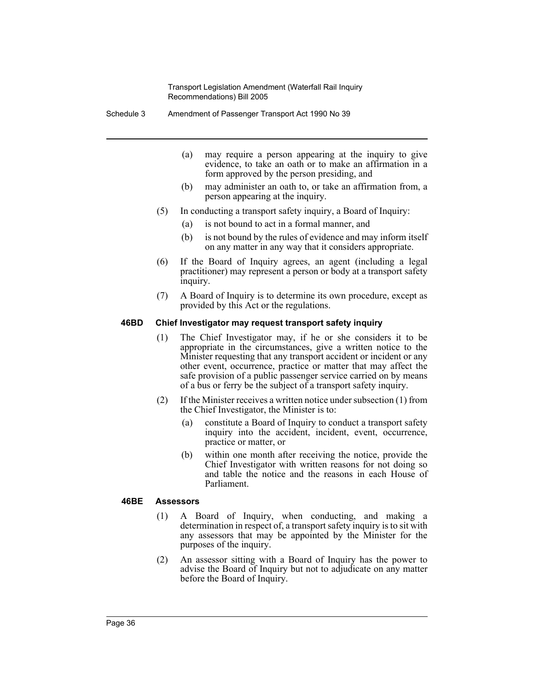Schedule 3 Amendment of Passenger Transport Act 1990 No 39

- (a) may require a person appearing at the inquiry to give evidence, to take an oath or to make an affirmation in a form approved by the person presiding, and
- (b) may administer an oath to, or take an affirmation from, a person appearing at the inquiry.
- (5) In conducting a transport safety inquiry, a Board of Inquiry:
	- (a) is not bound to act in a formal manner, and
	- (b) is not bound by the rules of evidence and may inform itself on any matter in any way that it considers appropriate.
- (6) If the Board of Inquiry agrees, an agent (including a legal practitioner) may represent a person or body at a transport safety inquiry.
- (7) A Board of Inquiry is to determine its own procedure, except as provided by this Act or the regulations.

#### **46BD Chief Investigator may request transport safety inquiry**

- (1) The Chief Investigator may, if he or she considers it to be appropriate in the circumstances, give a written notice to the Minister requesting that any transport accident or incident or any other event, occurrence, practice or matter that may affect the safe provision of a public passenger service carried on by means of a bus or ferry be the subject of a transport safety inquiry.
- (2) If the Minister receives a written notice under subsection (1) from the Chief Investigator, the Minister is to:
	- (a) constitute a Board of Inquiry to conduct a transport safety inquiry into the accident, incident, event, occurrence, practice or matter, or
	- (b) within one month after receiving the notice, provide the Chief Investigator with written reasons for not doing so and table the notice and the reasons in each House of Parliament.

#### **46BE Assessors**

- (1) A Board of Inquiry, when conducting, and making a determination in respect of, a transport safety inquiry is to sit with any assessors that may be appointed by the Minister for the purposes of the inquiry.
- (2) An assessor sitting with a Board of Inquiry has the power to advise the Board of Inquiry but not to adjudicate on any matter before the Board of Inquiry.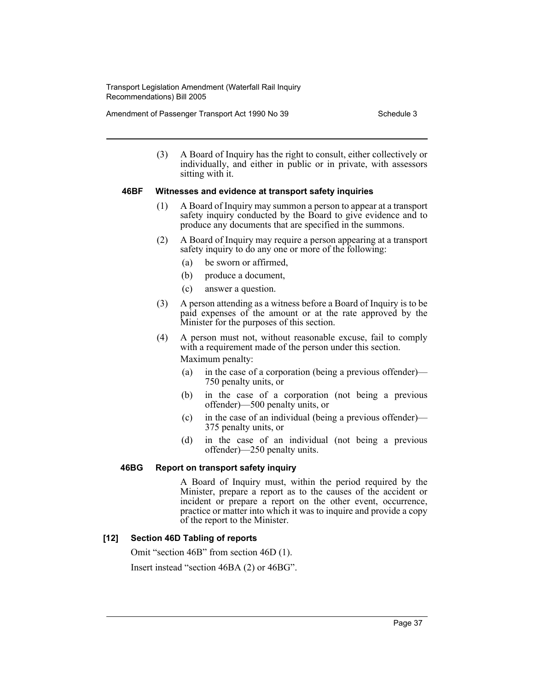Amendment of Passenger Transport Act 1990 No 39 Schedule 3

(3) A Board of Inquiry has the right to consult, either collectively or individually, and either in public or in private, with assessors sitting with it.

## **46BF Witnesses and evidence at transport safety inquiries**

- (1) A Board of Inquiry may summon a person to appear at a transport safety inquiry conducted by the Board to give evidence and to produce any documents that are specified in the summons.
- (2) A Board of Inquiry may require a person appearing at a transport safety inquiry to do any one or more of the following:
	- (a) be sworn or affirmed,
	- (b) produce a document,
	- (c) answer a question.
- (3) A person attending as a witness before a Board of Inquiry is to be paid expenses of the amount or at the rate approved by the Minister for the purposes of this section.
- (4) A person must not, without reasonable excuse, fail to comply with a requirement made of the person under this section. Maximum penalty:
	- (a) in the case of a corporation (being a previous offender)— 750 penalty units, or
	- (b) in the case of a corporation (not being a previous offender)—500 penalty units, or
	- (c) in the case of an individual (being a previous offender)— 375 penalty units, or
	- (d) in the case of an individual (not being a previous offender)—250 penalty units.

## **46BG Report on transport safety inquiry**

A Board of Inquiry must, within the period required by the Minister, prepare a report as to the causes of the accident or incident or prepare a report on the other event, occurrence, practice or matter into which it was to inquire and provide a copy of the report to the Minister.

## **[12] Section 46D Tabling of reports**

Omit "section 46B" from section 46D (1).

Insert instead "section 46BA (2) or 46BG".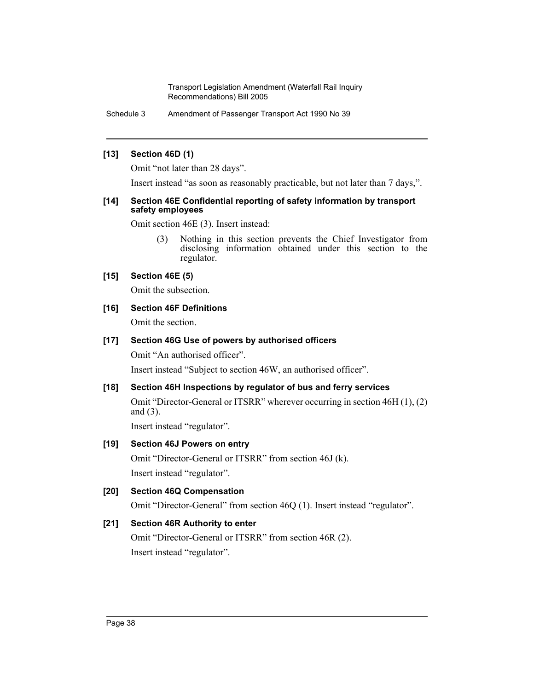Schedule 3 Amendment of Passenger Transport Act 1990 No 39

#### **[13] Section 46D (1)**

Omit "not later than 28 days".

Insert instead "as soon as reasonably practicable, but not later than 7 days,".

#### **[14] Section 46E Confidential reporting of safety information by transport safety employees**

Omit section 46E (3). Insert instead:

(3) Nothing in this section prevents the Chief Investigator from disclosing information obtained under this section to the regulator.

## **[15] Section 46E (5)**

Omit the subsection.

## **[16] Section 46F Definitions**

Omit the section.

## **[17] Section 46G Use of powers by authorised officers**

Omit "An authorised officer".

Insert instead "Subject to section 46W, an authorised officer".

## **[18] Section 46H Inspections by regulator of bus and ferry services**

Omit "Director-General or ITSRR" wherever occurring in section 46H (1), (2) and (3).

Insert instead "regulator".

## **[19] Section 46J Powers on entry**

Omit "Director-General or ITSRR" from section 46J (k). Insert instead "regulator".

## **[20] Section 46Q Compensation**

Omit "Director-General" from section 46Q (1). Insert instead "regulator".

## **[21] Section 46R Authority to enter**

Omit "Director-General or ITSRR" from section 46R (2). Insert instead "regulator".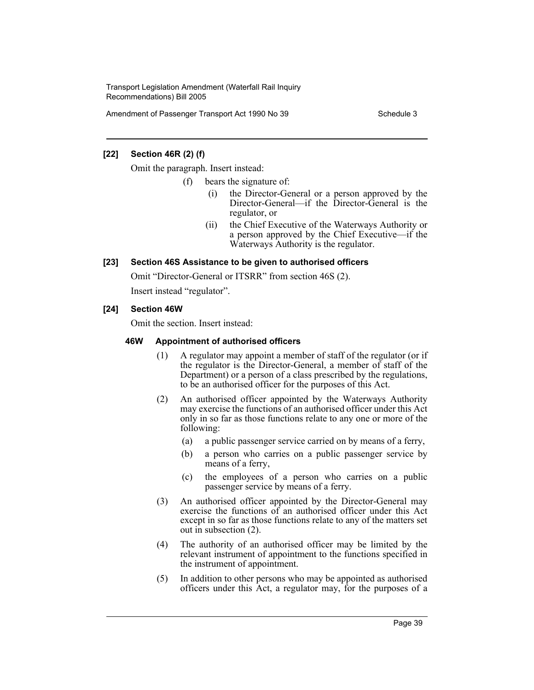Amendment of Passenger Transport Act 1990 No 39 Schedule 3

## **[22] Section 46R (2) (f)**

Omit the paragraph. Insert instead:

- (f) bears the signature of:
	- (i) the Director-General or a person approved by the Director-General—if the Director-General is the regulator, or
	- (ii) the Chief Executive of the Waterways Authority or a person approved by the Chief Executive—if the Waterways Authority is the regulator.

## **[23] Section 46S Assistance to be given to authorised officers**

Omit "Director-General or ITSRR" from section 46S (2).

Insert instead "regulator".

#### **[24] Section 46W**

Omit the section. Insert instead:

#### **46W Appointment of authorised officers**

- (1) A regulator may appoint a member of staff of the regulator (or if the regulator is the Director-General, a member of staff of the Department) or a person of a class prescribed by the regulations, to be an authorised officer for the purposes of this Act.
- (2) An authorised officer appointed by the Waterways Authority may exercise the functions of an authorised officer under this Act only in so far as those functions relate to any one or more of the following:
	- (a) a public passenger service carried on by means of a ferry,
	- (b) a person who carries on a public passenger service by means of a ferry,
	- (c) the employees of a person who carries on a public passenger service by means of a ferry.
- (3) An authorised officer appointed by the Director-General may exercise the functions of an authorised officer under this Act except in so far as those functions relate to any of the matters set out in subsection (2).
- (4) The authority of an authorised officer may be limited by the relevant instrument of appointment to the functions specified in the instrument of appointment.
- (5) In addition to other persons who may be appointed as authorised officers under this Act, a regulator may, for the purposes of a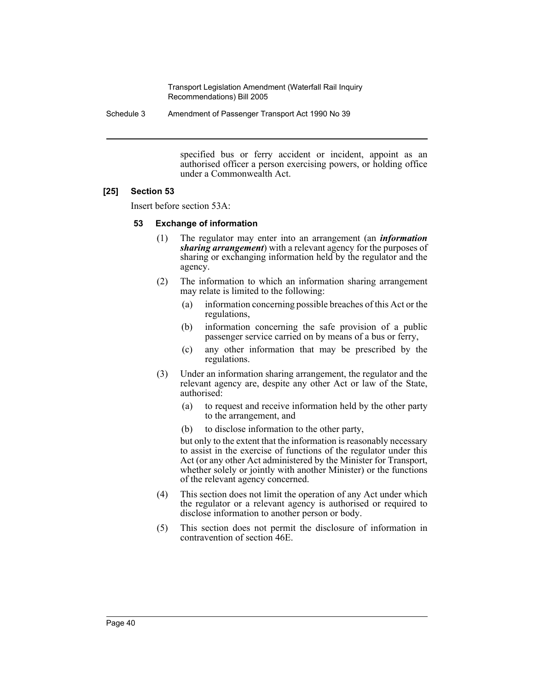Schedule 3 Amendment of Passenger Transport Act 1990 No 39

specified bus or ferry accident or incident, appoint as an authorised officer a person exercising powers, or holding office under a Commonwealth Act.

## **[25] Section 53**

Insert before section 53A:

#### **53 Exchange of information**

- (1) The regulator may enter into an arrangement (an *information sharing arrangement*) with a relevant agency for the purposes of sharing or exchanging information held by the regulator and the agency.
- (2) The information to which an information sharing arrangement may relate is limited to the following:
	- (a) information concerning possible breaches of this Act or the regulations,
	- (b) information concerning the safe provision of a public passenger service carried on by means of a bus or ferry,
	- (c) any other information that may be prescribed by the regulations.
- (3) Under an information sharing arrangement, the regulator and the relevant agency are, despite any other Act or law of the State, authorised:
	- (a) to request and receive information held by the other party to the arrangement, and
	- (b) to disclose information to the other party,

but only to the extent that the information is reasonably necessary to assist in the exercise of functions of the regulator under this Act (or any other Act administered by the Minister for Transport, whether solely or jointly with another Minister) or the functions of the relevant agency concerned.

- (4) This section does not limit the operation of any Act under which the regulator or a relevant agency is authorised or required to disclose information to another person or body.
- (5) This section does not permit the disclosure of information in contravention of section 46E.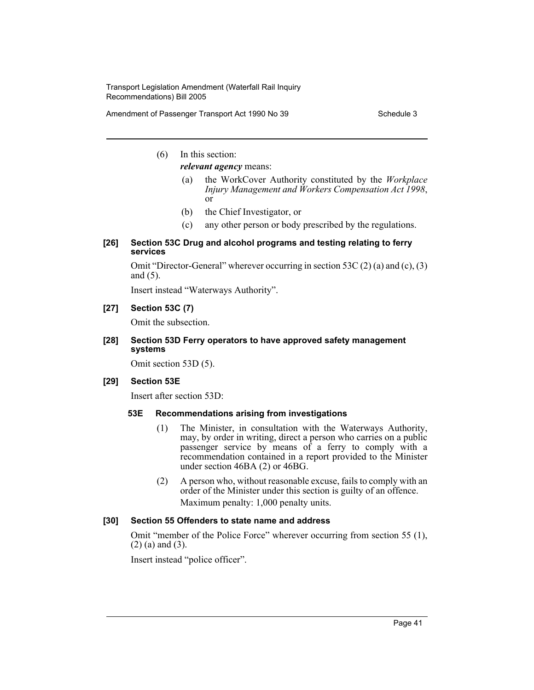Amendment of Passenger Transport Act 1990 No 39 Schedule 3

(6) In this section:

*relevant agency* means:

- (a) the WorkCover Authority constituted by the *Workplace Injury Management and Workers Compensation Act 1998*, or
- (b) the Chief Investigator, or
- (c) any other person or body prescribed by the regulations.
- **[26] Section 53C Drug and alcohol programs and testing relating to ferry services**

Omit "Director-General" wherever occurring in section 53C (2) (a) and (c), (3) and (5).

Insert instead "Waterways Authority".

#### **[27] Section 53C (7)**

Omit the subsection.

#### **[28] Section 53D Ferry operators to have approved safety management systems**

Omit section 53D (5).

#### **[29] Section 53E**

Insert after section 53D:

#### **53E Recommendations arising from investigations**

- (1) The Minister, in consultation with the Waterways Authority, may, by order in writing, direct a person who carries on a public passenger service by means of a ferry to comply with a recommendation contained in a report provided to the Minister under section 46BA (2) or 46BG.
- (2) A person who, without reasonable excuse, fails to comply with an order of the Minister under this section is guilty of an offence. Maximum penalty: 1,000 penalty units.

## **[30] Section 55 Offenders to state name and address**

Omit "member of the Police Force" wherever occurring from section 55 (1), (2) (a) and (3).

Insert instead "police officer".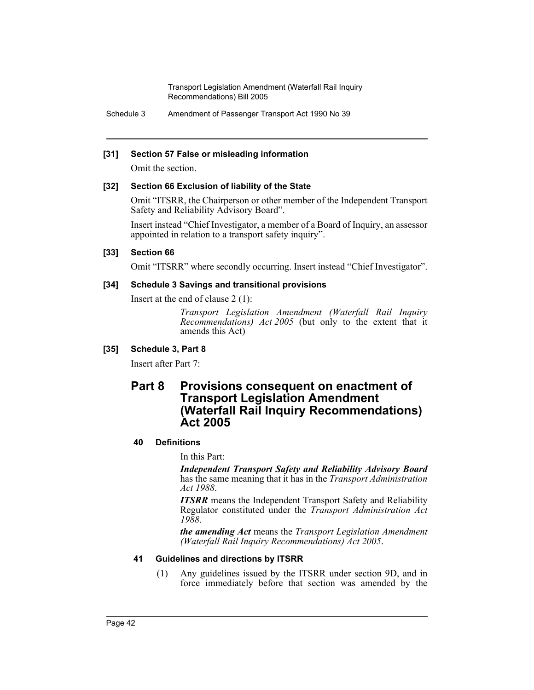Schedule 3 Amendment of Passenger Transport Act 1990 No 39

#### **[31] Section 57 False or misleading information**

Omit the section.

#### **[32] Section 66 Exclusion of liability of the State**

Omit "ITSRR, the Chairperson or other member of the Independent Transport Safety and Reliability Advisory Board".

Insert instead "Chief Investigator, a member of a Board of Inquiry, an assessor appointed in relation to a transport safety inquiry".

#### **[33] Section 66**

Omit "ITSRR" where secondly occurring. Insert instead "Chief Investigator".

#### **[34] Schedule 3 Savings and transitional provisions**

Insert at the end of clause 2 (1):

*Transport Legislation Amendment (Waterfall Rail Inquiry Recommendations) Act 2005* (but only to the extent that it amends this Act)

## **[35] Schedule 3, Part 8**

Insert after Part 7:

# **Part 8 Provisions consequent on enactment of Transport Legislation Amendment (Waterfall Rail Inquiry Recommendations) Act 2005**

#### **40 Definitions**

In this Part:

*Independent Transport Safety and Reliability Advisory Board* has the same meaning that it has in the *Transport Administration Act 1988*.

*ITSRR* means the Independent Transport Safety and Reliability Regulator constituted under the *Transport Administration Act 1988*.

*the amending Act* means the *Transport Legislation Amendment (Waterfall Rail Inquiry Recommendations) Act 2005*.

## **41 Guidelines and directions by ITSRR**

(1) Any guidelines issued by the ITSRR under section 9D, and in force immediately before that section was amended by the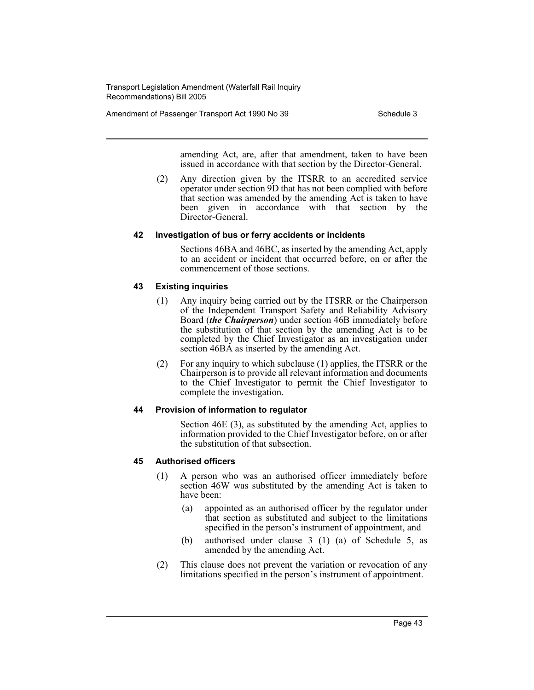Amendment of Passenger Transport Act 1990 No 39 Schedule 3

amending Act, are, after that amendment, taken to have been issued in accordance with that section by the Director-General.

(2) Any direction given by the ITSRR to an accredited service operator under section 9D that has not been complied with before that section was amended by the amending Act is taken to have been given in accordance with that section by the Director-General.

#### **42 Investigation of bus or ferry accidents or incidents**

Sections 46BA and 46BC, as inserted by the amending Act, apply to an accident or incident that occurred before, on or after the commencement of those sections.

#### **43 Existing inquiries**

- (1) Any inquiry being carried out by the ITSRR or the Chairperson of the Independent Transport Safety and Reliability Advisory Board (*the Chairperson*) under section 46B immediately before the substitution of that section by the amending Act is to be completed by the Chief Investigator as an investigation under section 46BA as inserted by the amending Act.
- (2) For any inquiry to which subclause (1) applies, the ITSRR or the Chairperson is to provide all relevant information and documents to the Chief Investigator to permit the Chief Investigator to complete the investigation.

#### **44 Provision of information to regulator**

Section 46E (3), as substituted by the amending Act, applies to information provided to the Chief Investigator before, on or after the substitution of that subsection.

#### **45 Authorised officers**

- (1) A person who was an authorised officer immediately before section 46W was substituted by the amending Act is taken to have been:
	- (a) appointed as an authorised officer by the regulator under that section as substituted and subject to the limitations specified in the person's instrument of appointment, and
	- (b) authorised under clause 3 (1) (a) of Schedule 5, as amended by the amending Act.
- (2) This clause does not prevent the variation or revocation of any limitations specified in the person's instrument of appointment.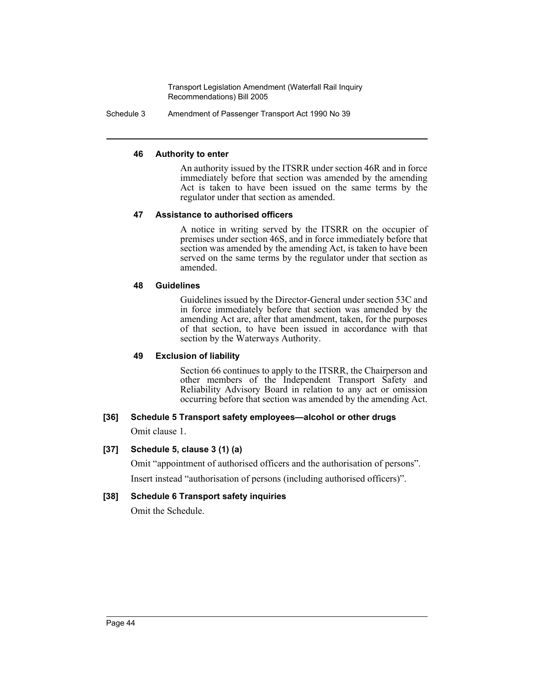Schedule 3 Amendment of Passenger Transport Act 1990 No 39

## **46 Authority to enter**

An authority issued by the ITSRR under section 46R and in force immediately before that section was amended by the amending Act is taken to have been issued on the same terms by the regulator under that section as amended.

#### **47 Assistance to authorised officers**

A notice in writing served by the ITSRR on the occupier of premises under section 46S, and in force immediately before that section was amended by the amending Act, is taken to have been served on the same terms by the regulator under that section as amended.

#### **48 Guidelines**

Guidelines issued by the Director-General under section 53C and in force immediately before that section was amended by the amending Act are, after that amendment, taken, for the purposes of that section, to have been issued in accordance with that section by the Waterways Authority.

## **49 Exclusion of liability**

Section 66 continues to apply to the ITSRR, the Chairperson and other members of the Independent Transport Safety and Reliability Advisory Board in relation to any act or omission occurring before that section was amended by the amending Act.

## **[36] Schedule 5 Transport safety employees—alcohol or other drugs**

Omit clause 1.

## **[37] Schedule 5, clause 3 (1) (a)**

Omit "appointment of authorised officers and the authorisation of persons". Insert instead "authorisation of persons (including authorised officers)".

## **[38] Schedule 6 Transport safety inquiries**

Omit the Schedule.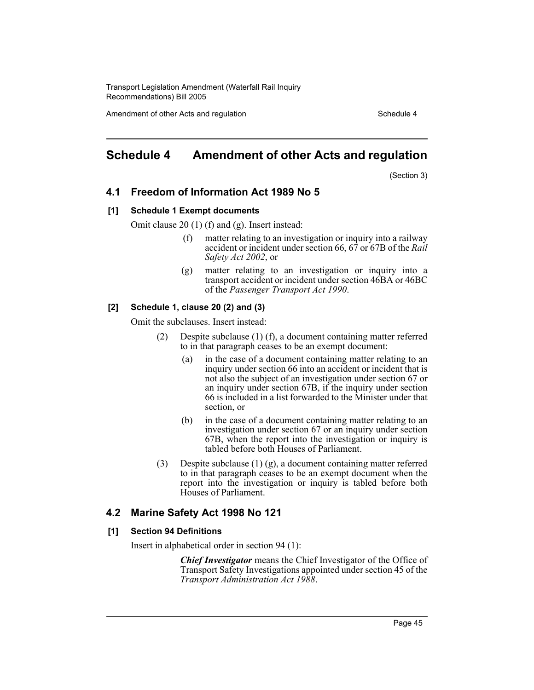Amendment of other Acts and regulation Schedule 4

# **Schedule 4 Amendment of other Acts and regulation**

(Section 3)

## **4.1 Freedom of Information Act 1989 No 5**

#### **[1] Schedule 1 Exempt documents**

Omit clause 20 (1) (f) and (g). Insert instead:

- (f) matter relating to an investigation or inquiry into a railway accident or incident under section 66, 67 or 67B of the *Rail Safety Act 2002*, or
- (g) matter relating to an investigation or inquiry into a transport accident or incident under section 46BA or 46BC of the *Passenger Transport Act 1990*.

#### **[2] Schedule 1, clause 20 (2) and (3)**

Omit the subclauses. Insert instead:

- (2) Despite subclause (1) (f), a document containing matter referred to in that paragraph ceases to be an exempt document:
	- (a) in the case of a document containing matter relating to an inquiry under section 66 into an accident or incident that is not also the subject of an investigation under section 67 or an inquiry under section 67B, if the inquiry under section 66 is included in a list forwarded to the Minister under that section, or
	- (b) in the case of a document containing matter relating to an investigation under section 67 or an inquiry under section 67B, when the report into the investigation or inquiry is tabled before both Houses of Parliament.
- (3) Despite subclause (1) (g), a document containing matter referred to in that paragraph ceases to be an exempt document when the report into the investigation or inquiry is tabled before both Houses of Parliament.

## **4.2 Marine Safety Act 1998 No 121**

#### **[1] Section 94 Definitions**

Insert in alphabetical order in section 94 (1):

*Chief Investigator* means the Chief Investigator of the Office of Transport Safety Investigations appointed under section 45 of the *Transport Administration Act 1988*.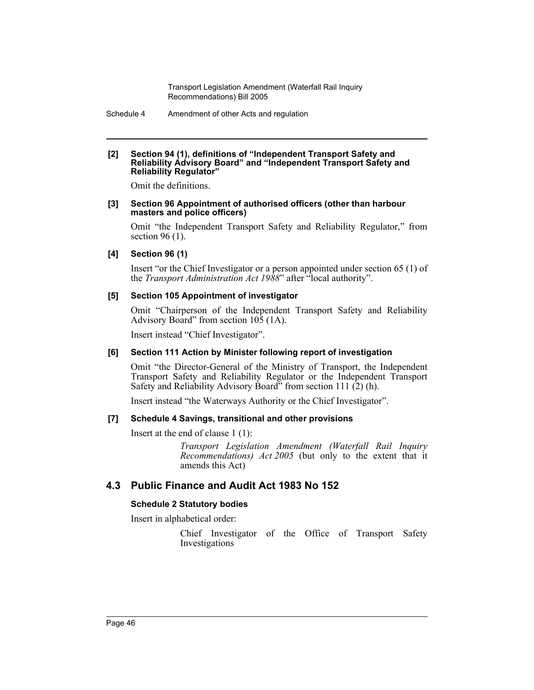Schedule 4 Amendment of other Acts and regulation

#### **[2] Section 94 (1), definitions of "Independent Transport Safety and Reliability Advisory Board" and "Independent Transport Safety and Reliability Regulator"**

Omit the definitions.

#### **[3] Section 96 Appointment of authorised officers (other than harbour masters and police officers)**

Omit "the Independent Transport Safety and Reliability Regulator," from section 96 (1).

#### **[4] Section 96 (1)**

Insert "or the Chief Investigator or a person appointed under section 65 (1) of the *Transport Administration Act 1988*" after <sup>"c</sup>local authority".

#### **[5] Section 105 Appointment of investigator**

Omit "Chairperson of the Independent Transport Safety and Reliability Advisory Board" from section 105 (1A).

Insert instead "Chief Investigator".

## **[6] Section 111 Action by Minister following report of investigation**

Omit "the Director-General of the Ministry of Transport, the Independent Transport Safety and Reliability Regulator or the Independent Transport Safety and Reliability Advisory Board" from section 111 (2) (h).

Insert instead "the Waterways Authority or the Chief Investigator".

#### **[7] Schedule 4 Savings, transitional and other provisions**

Insert at the end of clause 1 (1):

*Transport Legislation Amendment (Waterfall Rail Inquiry Recommendations) Act 2005* (but only to the extent that it amends this Act)

## **4.3 Public Finance and Audit Act 1983 No 152**

## **Schedule 2 Statutory bodies**

Insert in alphabetical order:

Chief Investigator of the Office of Transport Safety Investigations